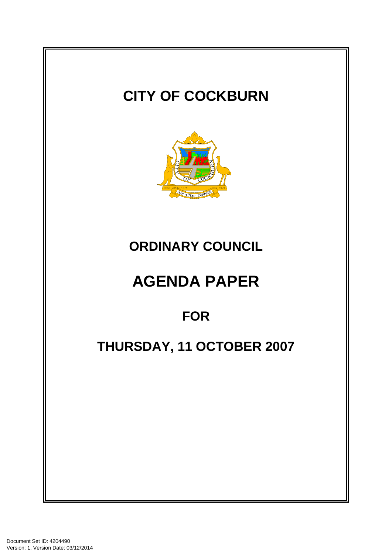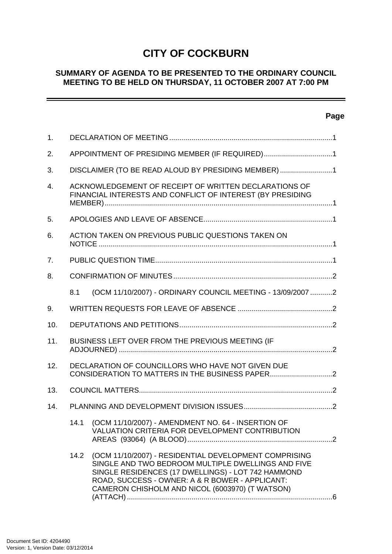# **CITY OF COCKBURN**

# **SUMMARY OF AGENDA TO BE PRESENTED TO THE ORDINARY COUNCIL MEETING TO BE HELD ON THURSDAY, 11 OCTOBER 2007 AT 7:00 PM**

# **Page**

| 1.               |                                                                                                                                                                                                                                                                                 |  |  |
|------------------|---------------------------------------------------------------------------------------------------------------------------------------------------------------------------------------------------------------------------------------------------------------------------------|--|--|
| 2.               | APPOINTMENT OF PRESIDING MEMBER (IF REQUIRED)1                                                                                                                                                                                                                                  |  |  |
| 3.               | DISCLAIMER (TO BE READ ALOUD BY PRESIDING MEMBER)1                                                                                                                                                                                                                              |  |  |
| $\overline{4}$ . | ACKNOWLEDGEMENT OF RECEIPT OF WRITTEN DECLARATIONS OF<br>FINANCIAL INTERESTS AND CONFLICT OF INTEREST (BY PRESIDING                                                                                                                                                             |  |  |
| 5.               |                                                                                                                                                                                                                                                                                 |  |  |
| 6.               | ACTION TAKEN ON PREVIOUS PUBLIC QUESTIONS TAKEN ON                                                                                                                                                                                                                              |  |  |
| 7.               |                                                                                                                                                                                                                                                                                 |  |  |
| 8.               |                                                                                                                                                                                                                                                                                 |  |  |
|                  | (OCM 11/10/2007) - ORDINARY COUNCIL MEETING - 13/09/2007 2<br>8.1                                                                                                                                                                                                               |  |  |
| 9.               |                                                                                                                                                                                                                                                                                 |  |  |
| 10.              |                                                                                                                                                                                                                                                                                 |  |  |
| 11.              | BUSINESS LEFT OVER FROM THE PREVIOUS MEETING (IF                                                                                                                                                                                                                                |  |  |
| 12.              | DECLARATION OF COUNCILLORS WHO HAVE NOT GIVEN DUE                                                                                                                                                                                                                               |  |  |
| 13.              |                                                                                                                                                                                                                                                                                 |  |  |
| 14.              |                                                                                                                                                                                                                                                                                 |  |  |
|                  | 14.1 (OCM 11/10/2007) - AMENDMENT NO. 64 - INSERTION OF<br>VALUATION CRITERIA FOR DEVELOPMENT CONTRIBUTION                                                                                                                                                                      |  |  |
|                  | (OCM 11/10/2007) - RESIDENTIAL DEVELOPMENT COMPRISING<br>14.2<br>SINGLE AND TWO BEDROOM MULTIPLE DWELLINGS AND FIVE<br>SINGLE RESIDENCES (17 DWELLINGS) - LOT 742 HAMMOND<br>ROAD, SUCCESS - OWNER: A & R BOWER - APPLICANT:<br>CAMERON CHISHOLM AND NICOL (6003970) (T WATSON) |  |  |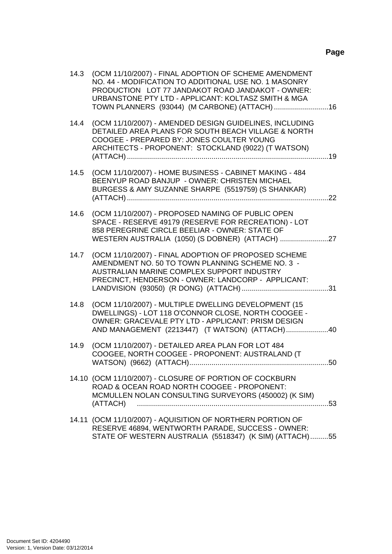| 14.3 | (OCM 11/10/2007) - FINAL ADOPTION OF SCHEME AMENDMENT<br>NO. 44 - MODIFICATION TO ADDITIONAL USE NO. 1 MASONRY<br>PRODUCTION LOT 77 JANDAKOT ROAD JANDAKOT - OWNER:<br>URBANSTONE PTY LTD - APPLICANT: KOLTASZ SMITH & MGA |  |
|------|----------------------------------------------------------------------------------------------------------------------------------------------------------------------------------------------------------------------------|--|
| 14.4 | (OCM 11/10/2007) - AMENDED DESIGN GUIDELINES, INCLUDING<br>DETAILED AREA PLANS FOR SOUTH BEACH VILLAGE & NORTH<br>COOGEE - PREPARED BY: JONES COULTER YOUNG<br>ARCHITECTS - PROPONENT: STOCKLAND (9022) (T WATSON)         |  |
| 14.5 | (OCM 11/10/2007) - HOME BUSINESS - CABINET MAKING - 484<br>BEENYUP ROAD BANJUP - OWNER: CHRISTEN MICHAEL<br>BURGESS & AMY SUZANNE SHARPE (5519759) (S SHANKAR)                                                             |  |
| 14.6 | (OCM 11/10/2007) - PROPOSED NAMING OF PUBLIC OPEN<br>SPACE - RESERVE 49179 (RESERVE FOR RECREATION) - LOT<br>858 PEREGRINE CIRCLE BEELIAR - OWNER: STATE OF                                                                |  |
| 14.7 | (OCM 11/10/2007) - FINAL ADOPTION OF PROPOSED SCHEME<br>AMENDMENT NO. 50 TO TOWN PLANNING SCHEME NO. 3 -<br>AUSTRALIAN MARINE COMPLEX SUPPORT INDUSTRY<br>PRECINCT, HENDERSON - OWNER: LANDCORP - APPLICANT:               |  |
| 14.8 | (OCM 11/10/2007) - MULTIPLE DWELLING DEVELOPMENT (15<br>DWELLINGS) - LOT 118 O'CONNOR CLOSE, NORTH COOGEE -<br>OWNER: GRACEVALE PTY LTD - APPLICANT: PRISM DESIGN<br>AND MANAGEMENT (2213447) (T WATSON) (ATTACH)40        |  |
| 14.9 | (OCM 11/10/2007) - DETAILED AREA PLAN FOR LOT 484<br>COOGEE, NORTH COOGEE - PROPONENT: AUSTRALAND (T                                                                                                                       |  |
|      | 14.10 (OCM 11/10/2007) - CLOSURE OF PORTION OF COCKBURN<br>ROAD & OCEAN ROAD NORTH COOGEE - PROPONENT:<br>MCMULLEN NOLAN CONSULTING SURVEYORS (450002) (K SIM)                                                             |  |
|      | 14.11 (OCM 11/10/2007) - AQUISITION OF NORTHERN PORTION OF<br>RESERVE 46894, WENTWORTH PARADE, SUCCESS - OWNER:<br>STATE OF WESTERN AUSTRALIA (5518347) (K SIM) (ATTACH)55                                                 |  |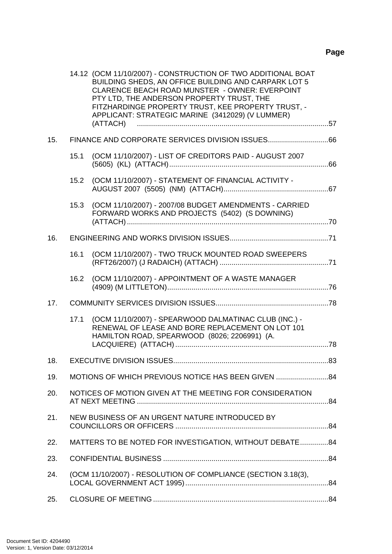|     |      | 14.12 (OCM 11/10/2007) - CONSTRUCTION OF TWO ADDITIONAL BOAT<br>BUILDING SHEDS, AN OFFICE BUILDING AND CARPARK LOT 5<br>CLARENCE BEACH ROAD MUNSTER - OWNER: EVERPOINT<br>PTY LTD, THE ANDERSON PROPERTY TRUST, THE<br>FITZHARDINGE PROPERTY TRUST, KEE PROPERTY TRUST, -<br>APPLICANT: STRATEGIC MARINE (3412029) (V LUMMER) |  |
|-----|------|-------------------------------------------------------------------------------------------------------------------------------------------------------------------------------------------------------------------------------------------------------------------------------------------------------------------------------|--|
| 15. |      |                                                                                                                                                                                                                                                                                                                               |  |
|     | 15.1 | (OCM 11/10/2007) - LIST OF CREDITORS PAID - AUGUST 2007                                                                                                                                                                                                                                                                       |  |
|     |      | 15.2 (OCM 11/10/2007) - STATEMENT OF FINANCIAL ACTIVITY -                                                                                                                                                                                                                                                                     |  |
|     |      | 15.3 (OCM 11/10/2007) - 2007/08 BUDGET AMENDMENTS - CARRIED<br>FORWARD WORKS AND PROJECTS (5402) (S DOWNING)                                                                                                                                                                                                                  |  |
| 16. |      |                                                                                                                                                                                                                                                                                                                               |  |
|     |      |                                                                                                                                                                                                                                                                                                                               |  |
|     | 16.1 | (OCM 11/10/2007) - TWO TRUCK MOUNTED ROAD SWEEPERS                                                                                                                                                                                                                                                                            |  |
|     | 16.2 | (OCM 11/10/2007) - APPOINTMENT OF A WASTE MANAGER                                                                                                                                                                                                                                                                             |  |
| 17. |      |                                                                                                                                                                                                                                                                                                                               |  |
|     | 17.1 | (OCM 11/10/2007) - SPEARWOOD DALMATINAC CLUB (INC.) -<br>RENEWAL OF LEASE AND BORE REPLACEMENT ON LOT 101<br>HAMILTON ROAD, SPEARWOOD (8026; 2206991) (A.                                                                                                                                                                     |  |
| 18. |      |                                                                                                                                                                                                                                                                                                                               |  |
| 19. |      | MOTIONS OF WHICH PREVIOUS NOTICE HAS BEEN GIVEN                                                                                                                                                                                                                                                                               |  |
| 20. |      | NOTICES OF MOTION GIVEN AT THE MEETING FOR CONSIDERATION                                                                                                                                                                                                                                                                      |  |
| 21. |      | NEW BUSINESS OF AN URGENT NATURE INTRODUCED BY                                                                                                                                                                                                                                                                                |  |
| 22. |      | MATTERS TO BE NOTED FOR INVESTIGATION, WITHOUT DEBATE84                                                                                                                                                                                                                                                                       |  |
| 23. |      |                                                                                                                                                                                                                                                                                                                               |  |
| 24. |      | (OCM 11/10/2007) - RESOLUTION OF COMPLIANCE (SECTION 3.18(3),                                                                                                                                                                                                                                                                 |  |
| 25. |      |                                                                                                                                                                                                                                                                                                                               |  |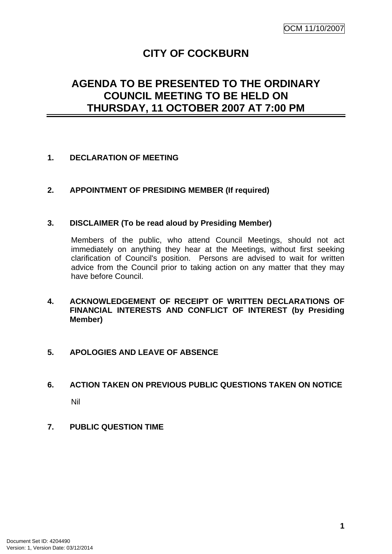# **CITY OF COCKBURN**

# <span id="page-4-0"></span>**AGENDA TO BE PRESENTED TO THE ORDINARY COUNCIL MEETING TO BE HELD ON THURSDAY, 11 OCTOBER 2007 AT 7:00 PM**

# **1. DECLARATION OF MEETING**

# **2. APPOINTMENT OF PRESIDING MEMBER (If required)**

#### **3. DISCLAIMER (To be read aloud by Presiding Member)**

Members of the public, who attend Council Meetings, should not act immediately on anything they hear at the Meetings, without first seeking clarification of Council's position. Persons are advised to wait for written advice from the Council prior to taking action on any matter that they may have before Council.

#### **4. ACKNOWLEDGEMENT OF RECEIPT OF WRITTEN DECLARATIONS OF FINANCIAL INTERESTS AND CONFLICT OF INTEREST (by Presiding Member)**

# **5. APOLOGIES AND LEAVE OF ABSENCE**

# **6. ACTION TAKEN ON PREVIOUS PUBLIC QUESTIONS TAKEN ON NOTICE**

Nil

**7. PUBLIC QUESTION TIME**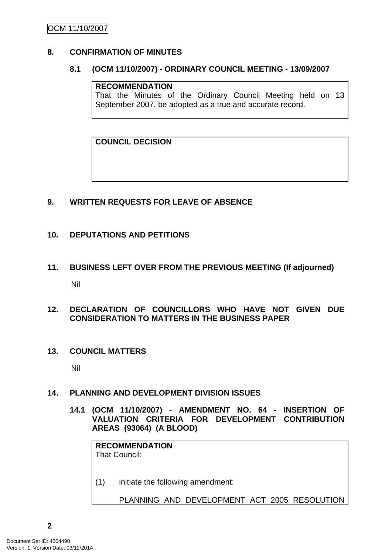# <span id="page-5-0"></span>OCM 11/10/2007

# **8. CONFIRMATION OF MINUTES**

#### **8.1 (OCM 11/10/2007) - ORDINARY COUNCIL MEETING - 13/09/2007**

#### **RECOMMENDATION**

That the Minutes of the Ordinary Council Meeting held on 13 September 2007, be adopted as a true and accurate record.

**COUNCIL DECISION**

# **9. WRITTEN REQUESTS FOR LEAVE OF ABSENCE**

# **10. DEPUTATIONS AND PETITIONS**

**11. BUSINESS LEFT OVER FROM THE PREVIOUS MEETING (If adjourned)**  Nil

#### **12. DECLARATION OF COUNCILLORS WHO HAVE NOT GIVEN DUE CONSIDERATION TO MATTERS IN THE BUSINESS PAPER**

**13. COUNCIL MATTERS** 

Nil

# **14. PLANNING AND DEVELOPMENT DIVISION ISSUES**

**14.1 (OCM 11/10/2007) - AMENDMENT NO. 64 - INSERTION OF VALUATION CRITERIA FOR DEVELOPMENT CONTRIBUTION AREAS (93064) (A BLOOD)** 

| <b>RECOMMENDATION</b><br>That Council: |                                              |  |  |  |
|----------------------------------------|----------------------------------------------|--|--|--|
| (1)                                    | initiate the following amendment:            |  |  |  |
|                                        | PLANNING AND DEVELOPMENT ACT 2005 RESOLUTION |  |  |  |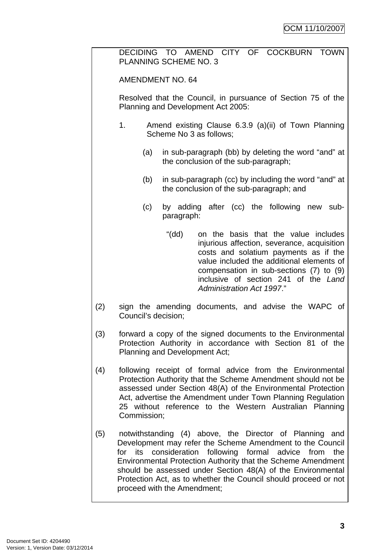DECIDING TO AMEND CITY OF COCKBURN TOWN PLANNING SCHEME NO. 3

AMENDMENT NO. 64

Resolved that the Council, in pursuance of Section 75 of the Planning and Development Act 2005:

- 1. Amend existing Clause 6.3.9 (a)(ii) of Town Planning Scheme No 3 as follows;
	- (a) in sub-paragraph (bb) by deleting the word "and" at the conclusion of the sub-paragraph;
	- (b) in sub-paragraph (cc) by including the word "and" at the conclusion of the sub-paragraph; and
	- (c) by adding after (cc) the following new subparagraph:
		- "(dd) on the basis that the value includes injurious affection, severance, acquisition costs and solatium payments as if the value included the additional elements of compensation in sub-sections (7) to (9) inclusive of section 241 of the *Land Administration Act 1997*."
- (2) sign the amending documents, and advise the WAPC of Council's decision;
- (3) forward a copy of the signed documents to the Environmental Protection Authority in accordance with Section 81 of the Planning and Development Act;
- (4) following receipt of formal advice from the Environmental Protection Authority that the Scheme Amendment should not be assessed under Section 48(A) of the Environmental Protection Act, advertise the Amendment under Town Planning Regulation 25 without reference to the Western Australian Planning Commission;
- (5) notwithstanding (4) above, the Director of Planning and Development may refer the Scheme Amendment to the Council for its consideration following formal advice from the Environmental Protection Authority that the Scheme Amendment should be assessed under Section 48(A) of the Environmental Protection Act, as to whether the Council should proceed or not proceed with the Amendment;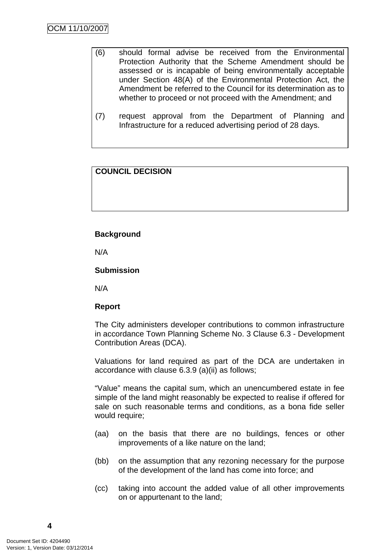- (6) should formal advise be received from the Environmental Protection Authority that the Scheme Amendment should be assessed or is incapable of being environmentally acceptable under Section 48(A) of the Environmental Protection Act, the Amendment be referred to the Council for its determination as to whether to proceed or not proceed with the Amendment; and
- (7) request approval from the Department of Planning and Infrastructure for a reduced advertising period of 28 days.

# **COUNCIL DECISION**

#### **Background**

N/A

**Submission**

N/A

# **Report**

The City administers developer contributions to common infrastructure in accordance Town Planning Scheme No. 3 Clause 6.3 - Development Contribution Areas (DCA).

Valuations for land required as part of the DCA are undertaken in accordance with clause 6.3.9 (a)(ii) as follows;

"Value" means the capital sum, which an unencumbered estate in fee simple of the land might reasonably be expected to realise if offered for sale on such reasonable terms and conditions, as a bona fide seller would require;

- (aa) on the basis that there are no buildings, fences or other improvements of a like nature on the land;
- (bb) on the assumption that any rezoning necessary for the purpose of the development of the land has come into force; and
- (cc) taking into account the added value of all other improvements on or appurtenant to the land;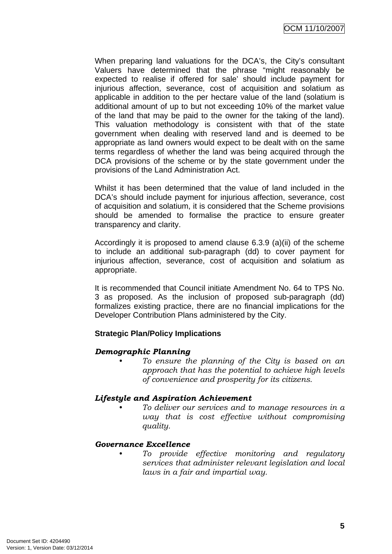When preparing land valuations for the DCA's, the City's consultant Valuers have determined that the phrase "might reasonably be expected to realise if offered for sale' should include payment for injurious affection, severance, cost of acquisition and solatium as applicable in addition to the per hectare value of the land (solatium is additional amount of up to but not exceeding 10% of the market value of the land that may be paid to the owner for the taking of the land). This valuation methodology is consistent with that of the state government when dealing with reserved land and is deemed to be appropriate as land owners would expect to be dealt with on the same terms regardless of whether the land was being acquired through the DCA provisions of the scheme or by the state government under the provisions of the Land Administration Act.

Whilst it has been determined that the value of land included in the DCA's should include payment for injurious affection, severance, cost of acquisition and solatium, it is considered that the Scheme provisions should be amended to formalise the practice to ensure greater transparency and clarity.

Accordingly it is proposed to amend clause 6.3.9 (a)(ii) of the scheme to include an additional sub-paragraph (dd) to cover payment for injurious affection, severance, cost of acquisition and solatium as appropriate.

It is recommended that Council initiate Amendment No. 64 to TPS No. 3 as proposed. As the inclusion of proposed sub-paragraph (dd) formalizes existing practice, there are no financial implications for the Developer Contribution Plans administered by the City.

# **Strategic Plan/Policy Implications**

# *Demographic Planning*

*• To ensure the planning of the City is based on an approach that has the potential to achieve high levels of convenience and prosperity for its citizens.* 

# *Lifestyle and Aspiration Achievement*

*• To deliver our services and to manage resources in a way that is cost effective without compromising quality.* 

# *Governance Excellence*

*• To provide effective monitoring and regulatory services that administer relevant legislation and local laws in a fair and impartial way.*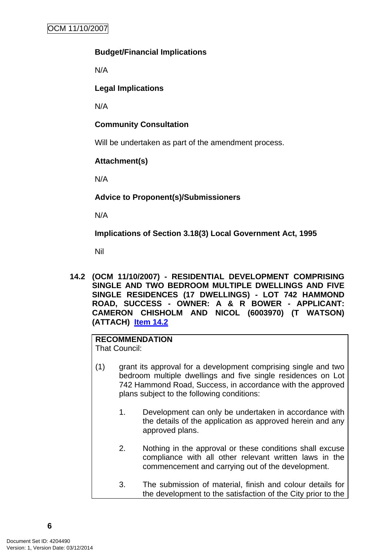# <span id="page-9-0"></span>**Budget/Financial Implications**

N/A

# **Legal Implications**

N/A

# **Community Consultation**

Will be undertaken as part of the amendment process.

# **Attachment(s)**

N/A

**Advice to Proponent(s)/Submissioners** 

N/A

**Implications of Section 3.18(3) Local Government Act, 1995**

Nil

**14.2 (OCM 11/10/2007) - RESIDENTIAL DEVELOPMENT COMPRISING SINGLE AND TWO BEDROOM MULTIPLE DWELLINGS AND FIVE SINGLE RESIDENCES (17 DWELLINGS) - LOT 742 HAMMOND ROAD, SUCCESS - OWNER: A & R BOWER - APPLICANT: CAMERON CHISHOLM AND NICOL (6003970) (T WATSON) (ATTACH) Item 14.2**

#### **RECOMMENDATION** That Council:

- (1) grant its approval for a development comprising single and two bedroom multiple dwellings and five single residences on Lot 742 Hammond Road, Success, in accordance with the approved plans subject to the following conditions:
	- 1. Development can only be undertaken in accordance with the details of the application as approved herein and any approved plans.
	- 2. Nothing in the approval or these conditions shall excuse compliance with all other relevant written laws in the commencement and carrying out of the development.
	- 3. The submission of material, finish and colour details for the development to the satisfaction of the City prior to the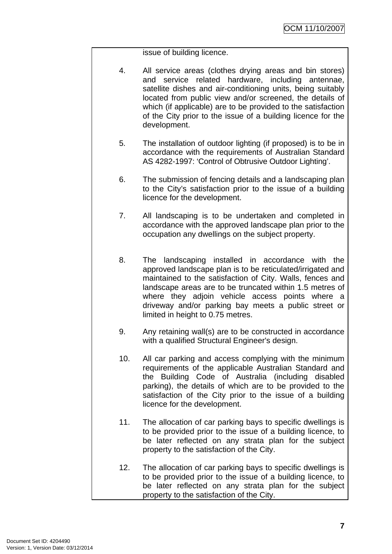issue of building licence.

- 4. All service areas (clothes drying areas and bin stores) and service related hardware, including antennae, satellite dishes and air-conditioning units, being suitably located from public view and/or screened, the details of which (if applicable) are to be provided to the satisfaction of the City prior to the issue of a building licence for the development.
- 5. The installation of outdoor lighting (if proposed) is to be in accordance with the requirements of Australian Standard AS 4282-1997: 'Control of Obtrusive Outdoor Lighting'.
- 6. The submission of fencing details and a landscaping plan to the City's satisfaction prior to the issue of a building licence for the development.
- 7. All landscaping is to be undertaken and completed in accordance with the approved landscape plan prior to the occupation any dwellings on the subject property.
- 8. The landscaping installed in accordance with the approved landscape plan is to be reticulated/irrigated and maintained to the satisfaction of City. Walls, fences and landscape areas are to be truncated within 1.5 metres of where they adjoin vehicle access points where a driveway and/or parking bay meets a public street or limited in height to 0.75 metres.
- 9. Any retaining wall(s) are to be constructed in accordance with a qualified Structural Engineer's design.
- 10. All car parking and access complying with the minimum requirements of the applicable Australian Standard and the Building Code of Australia (including disabled parking), the details of which are to be provided to the satisfaction of the City prior to the issue of a building licence for the development.
- 11. The allocation of car parking bays to specific dwellings is to be provided prior to the issue of a building licence, to be later reflected on any strata plan for the subject property to the satisfaction of the City.
- 12. The allocation of car parking bays to specific dwellings is to be provided prior to the issue of a building licence, to be later reflected on any strata plan for the subject property to the satisfaction of the City.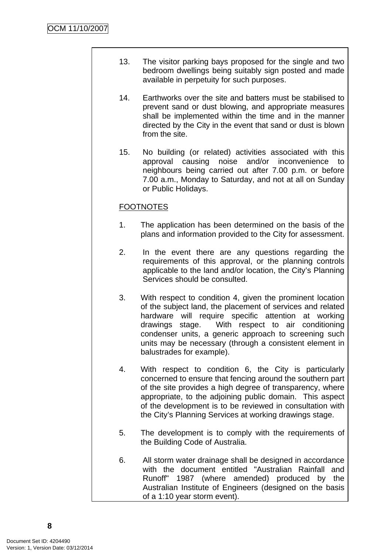- 13. The visitor parking bays proposed for the single and two bedroom dwellings being suitably sign posted and made available in perpetuity for such purposes.
- 14. Earthworks over the site and batters must be stabilised to prevent sand or dust blowing, and appropriate measures shall be implemented within the time and in the manner directed by the City in the event that sand or dust is blown from the site.
- 15. No building (or related) activities associated with this approval causing noise and/or inconvenience to neighbours being carried out after 7.00 p.m. or before 7.00 a.m., Monday to Saturday, and not at all on Sunday or Public Holidays.

# **FOOTNOTES**

- 1. The application has been determined on the basis of the plans and information provided to the City for assessment.
- 2. In the event there are any questions regarding the requirements of this approval, or the planning controls applicable to the land and/or location, the City's Planning Services should be consulted.
- 3. With respect to condition 4, given the prominent location of the subject land, the placement of services and related hardware will require specific attention at working drawings stage. With respect to air conditioning condenser units, a generic approach to screening such units may be necessary (through a consistent element in balustrades for example).
- 4. With respect to condition 6, the City is particularly concerned to ensure that fencing around the southern part of the site provides a high degree of transparency, where appropriate, to the adjoining public domain. This aspect of the development is to be reviewed in consultation with the City's Planning Services at working drawings stage.
- 5. The development is to comply with the requirements of the Building Code of Australia.
- 6. All storm water drainage shall be designed in accordance with the document entitled "Australian Rainfall and Runoff" 1987 (where amended) produced by the Australian Institute of Engineers (designed on the basis of a 1:10 year storm event).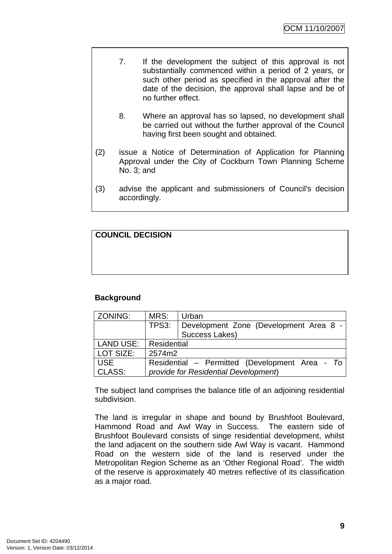- 7. If the development the subject of this approval is not substantially commenced within a period of 2 years, or such other period as specified in the approval after the date of the decision, the approval shall lapse and be of no further effect.
	- 8. Where an approval has so lapsed, no development shall be carried out without the further approval of the Council having first been sought and obtained.
- (2) issue a Notice of Determination of Application for Planning Approval under the City of Cockburn Town Planning Scheme No. 3; and
- (3) advise the applicant and submissioners of Council's decision accordingly.

**COUNCIL DECISION**

# **Background**

| ZONING:    | MRS:                                 | Urban                                          |  |
|------------|--------------------------------------|------------------------------------------------|--|
|            | TPS3:                                | Development Zone (Development Area 8 -         |  |
|            |                                      | Success Lakes)                                 |  |
| LAND USE:  | Residential                          |                                                |  |
| LOT SIZE:  | 2574m2                               |                                                |  |
| <b>USE</b> |                                      | Residential – Permitted (Development Area - To |  |
| CLASS:     | provide for Residential Development) |                                                |  |

The subject land comprises the balance title of an adjoining residential subdivision.

The land is irregular in shape and bound by Brushfoot Boulevard, Hammond Road and Awl Way in Success. The eastern side of Brushfoot Boulevard consists of singe residential development, whilst the land adjacent on the southern side Awl Way is vacant. Hammond Road on the western side of the land is reserved under the Metropolitan Region Scheme as an 'Other Regional Road'. The width of the reserve is approximately 40 metres reflective of its classification as a major road.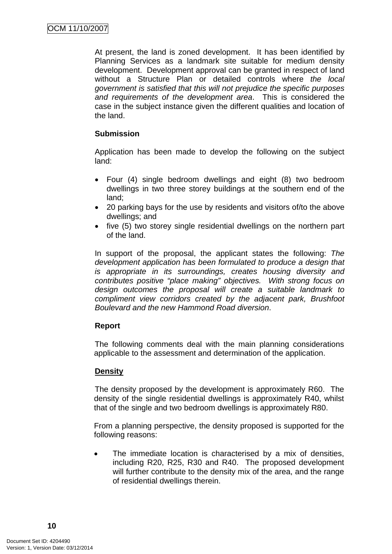At present, the land is zoned development. It has been identified by Planning Services as a landmark site suitable for medium density development. Development approval can be granted in respect of land without a Structure Plan or detailed controls where *the local government is satisfied that this will not prejudice the specific purposes and requirements of the development area*. This is considered the case in the subject instance given the different qualities and location of the land.

# **Submission**

Application has been made to develop the following on the subject land:

- Four (4) single bedroom dwellings and eight (8) two bedroom dwellings in two three storey buildings at the southern end of the land;
- 20 parking bays for the use by residents and visitors of/to the above dwellings; and
- five (5) two storey single residential dwellings on the northern part of the land.

In support of the proposal, the applicant states the following: *The development application has been formulated to produce a design that is appropriate in its surroundings, creates housing diversity and contributes positive "place making" objectives. With strong focus on design outcomes the proposal will create a suitable landmark to compliment view corridors created by the adjacent park, Brushfoot Boulevard and the new Hammond Road diversion*.

#### **Report**

The following comments deal with the main planning considerations applicable to the assessment and determination of the application.

# **Density**

The density proposed by the development is approximately R60. The density of the single residential dwellings is approximately R40, whilst that of the single and two bedroom dwellings is approximately R80.

From a planning perspective, the density proposed is supported for the following reasons:

• The immediate location is characterised by a mix of densities, including R20, R25, R30 and R40. The proposed development will further contribute to the density mix of the area, and the range of residential dwellings therein.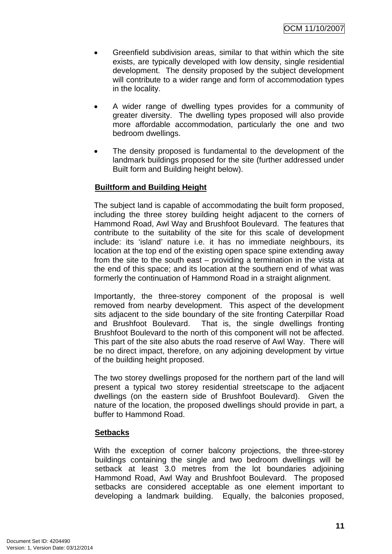- Greenfield subdivision areas, similar to that within which the site exists, are typically developed with low density, single residential development. The density proposed by the subject development will contribute to a wider range and form of accommodation types in the locality.
- A wider range of dwelling types provides for a community of greater diversity. The dwelling types proposed will also provide more affordable accommodation, particularly the one and two bedroom dwellings.
- The density proposed is fundamental to the development of the landmark buildings proposed for the site (further addressed under Built form and Building height below).

# **Builtform and Building Height**

The subject land is capable of accommodating the built form proposed, including the three storey building height adjacent to the corners of Hammond Road, Awl Way and Brushfoot Boulevard. The features that contribute to the suitability of the site for this scale of development include: its 'island' nature i.e. it has no immediate neighbours, its location at the top end of the existing open space spine extending away from the site to the south east – providing a termination in the vista at the end of this space; and its location at the southern end of what was formerly the continuation of Hammond Road in a straight alignment.

Importantly, the three-storey component of the proposal is well removed from nearby development. This aspect of the development sits adjacent to the side boundary of the site fronting Caterpillar Road and Brushfoot Boulevard. That is, the single dwellings fronting Brushfoot Boulevard to the north of this component will not be affected. This part of the site also abuts the road reserve of Awl Way. There will be no direct impact, therefore, on any adjoining development by virtue of the building height proposed.

The two storey dwellings proposed for the northern part of the land will present a typical two storey residential streetscape to the adjacent dwellings (on the eastern side of Brushfoot Boulevard). Given the nature of the location, the proposed dwellings should provide in part, a buffer to Hammond Road.

#### **Setbacks**

With the exception of corner balcony projections, the three-storey buildings containing the single and two bedroom dwellings will be setback at least 3.0 metres from the lot boundaries adjoining Hammond Road, Awl Way and Brushfoot Boulevard. The proposed setbacks are considered acceptable as one element important to developing a landmark building. Equally, the balconies proposed,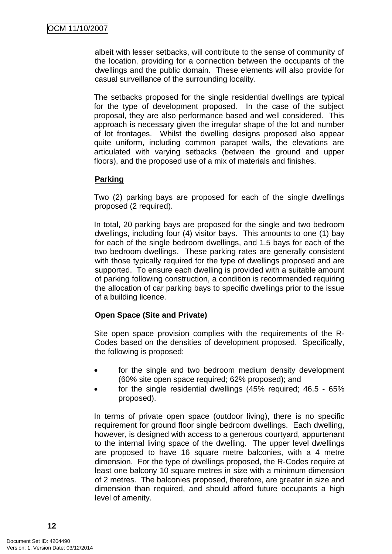albeit with lesser setbacks, will contribute to the sense of community of the location, providing for a connection between the occupants of the dwellings and the public domain. These elements will also provide for casual surveillance of the surrounding locality.

The setbacks proposed for the single residential dwellings are typical for the type of development proposed. In the case of the subject proposal, they are also performance based and well considered. This approach is necessary given the irregular shape of the lot and number of lot frontages. Whilst the dwelling designs proposed also appear quite uniform, including common parapet walls, the elevations are articulated with varying setbacks (between the ground and upper floors), and the proposed use of a mix of materials and finishes.

#### **Parking**

Two (2) parking bays are proposed for each of the single dwellings proposed (2 required).

In total, 20 parking bays are proposed for the single and two bedroom dwellings, including four (4) visitor bays. This amounts to one (1) bay for each of the single bedroom dwellings, and 1.5 bays for each of the two bedroom dwellings. These parking rates are generally consistent with those typically required for the type of dwellings proposed and are supported. To ensure each dwelling is provided with a suitable amount of parking following construction, a condition is recommended requiring the allocation of car parking bays to specific dwellings prior to the issue of a building licence.

# **Open Space (Site and Private)**

Site open space provision complies with the requirements of the R-Codes based on the densities of development proposed. Specifically, the following is proposed:

- for the single and two bedroom medium density development (60% site open space required; 62% proposed); and
- for the single residential dwellings (45% required; 46.5 65% proposed).

In terms of private open space (outdoor living), there is no specific requirement for ground floor single bedroom dwellings. Each dwelling, however, is designed with access to a generous courtyard, appurtenant to the internal living space of the dwelling. The upper level dwellings are proposed to have 16 square metre balconies, with a 4 metre dimension. For the type of dwellings proposed, the R-Codes require at least one balcony 10 square metres in size with a minimum dimension of 2 metres. The balconies proposed, therefore, are greater in size and dimension than required, and should afford future occupants a high level of amenity.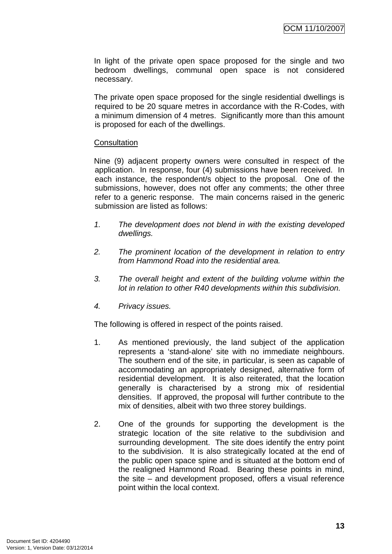In light of the private open space proposed for the single and two bedroom dwellings, communal open space is not considered necessary.

The private open space proposed for the single residential dwellings is required to be 20 square metres in accordance with the R-Codes, with a minimum dimension of 4 metres. Significantly more than this amount is proposed for each of the dwellings.

#### **Consultation**

Nine (9) adjacent property owners were consulted in respect of the application. In response, four (4) submissions have been received. In each instance, the respondent/s object to the proposal. One of the submissions, however, does not offer any comments; the other three refer to a generic response. The main concerns raised in the generic submission are listed as follows:

- *1. The development does not blend in with the existing developed dwellings.*
- *2. The prominent location of the development in relation to entry from Hammond Road into the residential area.*
- *3. The overall height and extent of the building volume within the lot in relation to other R40 developments within this subdivision.*
- *4. Privacy issues.*

The following is offered in respect of the points raised.

- 1. As mentioned previously, the land subject of the application represents a 'stand-alone' site with no immediate neighbours. The southern end of the site, in particular, is seen as capable of accommodating an appropriately designed, alternative form of residential development. It is also reiterated, that the location generally is characterised by a strong mix of residential densities. If approved, the proposal will further contribute to the mix of densities, albeit with two three storey buildings.
- 2. One of the grounds for supporting the development is the strategic location of the site relative to the subdivision and surrounding development. The site does identify the entry point to the subdivision. It is also strategically located at the end of the public open space spine and is situated at the bottom end of the realigned Hammond Road. Bearing these points in mind, the site – and development proposed, offers a visual reference point within the local context.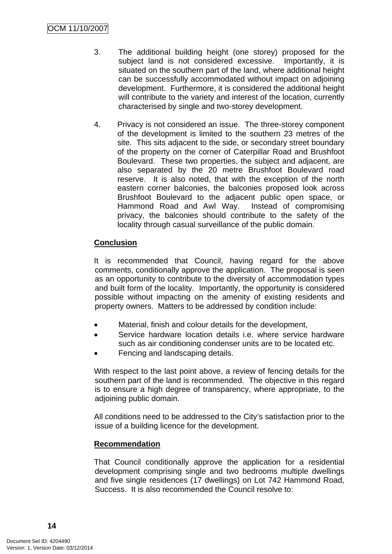- 3. The additional building height (one storey) proposed for the subject land is not considered excessive. Importantly, it is situated on the southern part of the land, where additional height can be successfully accommodated without impact on adjoining development. Furthermore, it is considered the additional height will contribute to the variety and interest of the location, currently characterised by single and two-storey development.
- 4. Privacy is not considered an issue. The three-storey component of the development is limited to the southern 23 metres of the site. This sits adjacent to the side, or secondary street boundary of the property on the corner of Caterpillar Road and Brushfoot Boulevard. These two properties, the subject and adjacent, are also separated by the 20 metre Brushfoot Boulevard road reserve. It is also noted, that with the exception of the north eastern corner balconies, the balconies proposed look across Brushfoot Boulevard to the adjacent public open space, or Hammond Road and Awl Way. Instead of compromising privacy, the balconies should contribute to the safety of the locality through casual surveillance of the public domain.

# **Conclusion**

It is recommended that Council, having regard for the above comments, conditionally approve the application. The proposal is seen as an opportunity to contribute to the diversity of accommodation types and built form of the locality. Importantly, the opportunity is considered possible without impacting on the amenity of existing residents and property owners. Matters to be addressed by condition include:

- Material, finish and colour details for the development,
- Service hardware location details *i.e.* where service hardware such as air conditioning condenser units are to be located etc.
- Fencing and landscaping details.

With respect to the last point above, a review of fencing details for the southern part of the land is recommended. The objective in this regard is to ensure a high degree of transparency, where appropriate, to the adjoining public domain.

All conditions need to be addressed to the City's satisfaction prior to the issue of a building licence for the development.

#### **Recommendation**

That Council conditionally approve the application for a residential development comprising single and two bedrooms multiple dwellings and five single residences (17 dwellings) on Lot 742 Hammond Road, Success. It is also recommended the Council resolve to: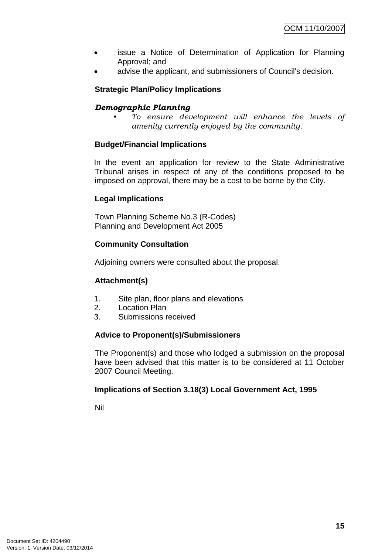- issue a Notice of Determination of Application for Planning Approval; and
- advise the applicant, and submissioners of Council's decision.

# **Strategic Plan/Policy Implications**

# *Demographic Planning*

*• To ensure development will enhance the levels of amenity currently enjoyed by the community.*

# **Budget/Financial Implications**

In the event an application for review to the State Administrative Tribunal arises in respect of any of the conditions proposed to be imposed on approval, there may be a cost to be borne by the City.

# **Legal Implications**

Town Planning Scheme No.3 (R-Codes) Planning and Development Act 2005

# **Community Consultation**

Adjoining owners were consulted about the proposal.

#### **Attachment(s)**

- 1. Site plan, floor plans and elevations
- 2. Location Plan
- 3. Submissions received

#### **Advice to Proponent(s)/Submissioners**

The Proponent(s) and those who lodged a submission on the proposal have been advised that this matter is to be considered at 11 October 2007 Council Meeting.

#### **Implications of Section 3.18(3) Local Government Act, 1995**

Nil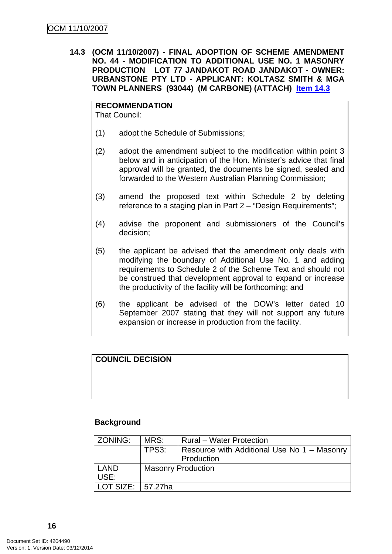<span id="page-19-0"></span>**14.3 (OCM 11/10/2007) - FINAL ADOPTION OF SCHEME AMENDMENT NO. 44 - MODIFICATION TO ADDITIONAL USE NO. 1 MASONRY PRODUCTION LOT 77 JANDAKOT ROAD JANDAKOT - OWNER: URBANSTONE PTY LTD - APPLICANT: KOLTASZ SMITH & MGA TOWN PLANNERS (93044) (M CARBONE) (ATTACH) Item 14.3**

**RECOMMENDATION** That Council:

- (1) adopt the Schedule of Submissions;
- (2) adopt the amendment subject to the modification within point 3 below and in anticipation of the Hon. Minister's advice that final approval will be granted, the documents be signed, sealed and forwarded to the Western Australian Planning Commission;
- (3) amend the proposed text within Schedule 2 by deleting reference to a staging plan in Part 2 – "Design Requirements":
- (4) advise the proponent and submissioners of the Council's decision;
- (5) the applicant be advised that the amendment only deals with modifying the boundary of Additional Use No. 1 and adding requirements to Schedule 2 of the Scheme Text and should not be construed that development approval to expand or increase the productivity of the facility will be forthcoming; and
- (6) the applicant be advised of the DOW's letter dated 10 September 2007 stating that they will not support any future expansion or increase in production from the facility.

# **COUNCIL DECISION**

#### **Background**

| ZONING:     | MRS:                      | <b>Rural</b> – Water Protection             |  |
|-------------|---------------------------|---------------------------------------------|--|
|             | TPS3:                     | Resource with Additional Use No 1 - Masonry |  |
|             |                           | Production                                  |  |
| <b>LAND</b> | <b>Masonry Production</b> |                                             |  |
| USE:        |                           |                                             |  |
| LOT SIZE:   | l 57.27ha                 |                                             |  |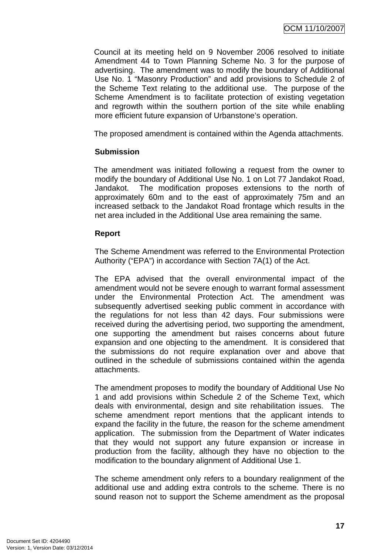Council at its meeting held on 9 November 2006 resolved to initiate Amendment 44 to Town Planning Scheme No. 3 for the purpose of advertising. The amendment was to modify the boundary of Additional Use No. 1 "Masonry Production" and add provisions to Schedule 2 of the Scheme Text relating to the additional use. The purpose of the Scheme Amendment is to facilitate protection of existing vegetation and regrowth within the southern portion of the site while enabling more efficient future expansion of Urbanstone's operation.

The proposed amendment is contained within the Agenda attachments.

# **Submission**

The amendment was initiated following a request from the owner to modify the boundary of Additional Use No. 1 on Lot 77 Jandakot Road, Jandakot. The modification proposes extensions to the north of approximately 60m and to the east of approximately 75m and an increased setback to the Jandakot Road frontage which results in the net area included in the Additional Use area remaining the same.

# **Report**

The Scheme Amendment was referred to the Environmental Protection Authority ("EPA") in accordance with Section 7A(1) of the Act.

The EPA advised that the overall environmental impact of the amendment would not be severe enough to warrant formal assessment under the Environmental Protection Act. The amendment was subsequently advertised seeking public comment in accordance with the regulations for not less than 42 days. Four submissions were received during the advertising period, two supporting the amendment, one supporting the amendment but raises concerns about future expansion and one objecting to the amendment. It is considered that the submissions do not require explanation over and above that outlined in the schedule of submissions contained within the agenda attachments.

The amendment proposes to modify the boundary of Additional Use No 1 and add provisions within Schedule 2 of the Scheme Text, which deals with environmental, design and site rehabilitation issues. The scheme amendment report mentions that the applicant intends to expand the facility in the future, the reason for the scheme amendment application. The submission from the Department of Water indicates that they would not support any future expansion or increase in production from the facility, although they have no objection to the modification to the boundary alignment of Additional Use 1.

The scheme amendment only refers to a boundary realignment of the additional use and adding extra controls to the scheme. There is no sound reason not to support the Scheme amendment as the proposal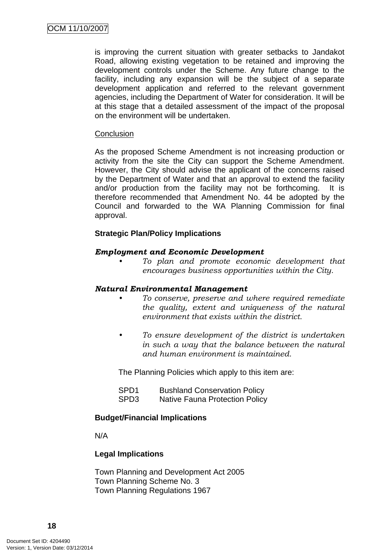is improving the current situation with greater setbacks to Jandakot Road, allowing existing vegetation to be retained and improving the development controls under the Scheme. Any future change to the facility, including any expansion will be the subject of a separate development application and referred to the relevant government agencies, including the Department of Water for consideration. It will be at this stage that a detailed assessment of the impact of the proposal on the environment will be undertaken.

#### **Conclusion**

As the proposed Scheme Amendment is not increasing production or activity from the site the City can support the Scheme Amendment. However, the City should advise the applicant of the concerns raised by the Department of Water and that an approval to extend the facility and/or production from the facility may not be forthcoming. It is therefore recommended that Amendment No. 44 be adopted by the Council and forwarded to the WA Planning Commission for final approval.

#### **Strategic Plan/Policy Implications**

#### *Employment and Economic Development*

*• To plan and promote economic development that encourages business opportunities within the City.* 

#### *Natural Environmental Management*

- *To conserve, preserve and where required remediate the quality, extent and uniqueness of the natural environment that exists within the district.*
- *To ensure development of the district is undertaken in such a way that the balance between the natural and human environment is maintained.*

The Planning Policies which apply to this item are:

| SPD <sub>1</sub> | <b>Bushland Conservation Policy</b>   |
|------------------|---------------------------------------|
| SPD <sub>3</sub> | <b>Native Fauna Protection Policy</b> |

#### **Budget/Financial Implications**

N/A

#### **Legal Implications**

Town Planning and Development Act 2005 Town Planning Scheme No. 3 Town Planning Regulations 1967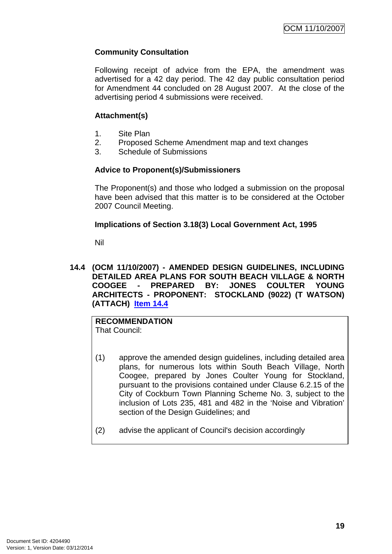# <span id="page-22-0"></span>**Community Consultation**

Following receipt of advice from the EPA, the amendment was advertised for a 42 day period. The 42 day public consultation period for Amendment 44 concluded on 28 August 2007. At the close of the advertising period 4 submissions were received.

# **Attachment(s)**

- 1. Site Plan
- 2. Proposed Scheme Amendment map and text changes
- 3. Schedule of Submissions

# **Advice to Proponent(s)/Submissioners**

The Proponent(s) and those who lodged a submission on the proposal have been advised that this matter is to be considered at the October 2007 Council Meeting.

#### **Implications of Section 3.18(3) Local Government Act, 1995**

Nil

**14.4 (OCM 11/10/2007) - AMENDED DESIGN GUIDELINES, INCLUDING DETAILED AREA PLANS FOR SOUTH BEACH VILLAGE & NORTH COOGEE - PREPARED BY: JONES COULTER YOUNG ARCHITECTS - PROPONENT: STOCKLAND (9022) (T WATSON) (ATTACH) Item 14.4**

**RECOMMENDATION** That Council:

- (1) approve the amended design guidelines, including detailed area plans, for numerous lots within South Beach Village, North Coogee, prepared by Jones Coulter Young for Stockland, pursuant to the provisions contained under Clause 6.2.15 of the City of Cockburn Town Planning Scheme No. 3, subject to the inclusion of Lots 235, 481 and 482 in the 'Noise and Vibration' section of the Design Guidelines; and
- (2) advise the applicant of Council's decision accordingly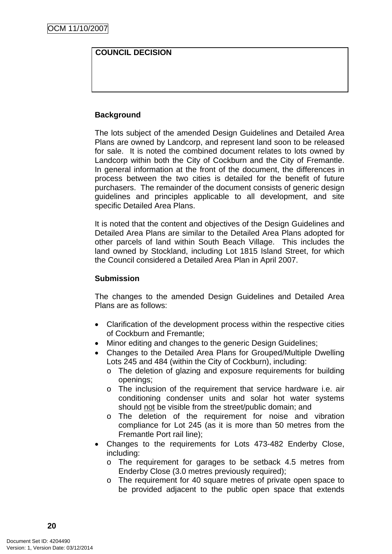# **COUNCIL DECISION**

# **Background**

The lots subject of the amended Design Guidelines and Detailed Area Plans are owned by Landcorp, and represent land soon to be released for sale. It is noted the combined document relates to lots owned by Landcorp within both the City of Cockburn and the City of Fremantle. In general information at the front of the document, the differences in process between the two cities is detailed for the benefit of future purchasers. The remainder of the document consists of generic design guidelines and principles applicable to all development, and site specific Detailed Area Plans.

It is noted that the content and objectives of the Design Guidelines and Detailed Area Plans are similar to the Detailed Area Plans adopted for other parcels of land within South Beach Village. This includes the land owned by Stockland, including Lot 1815 Island Street, for which the Council considered a Detailed Area Plan in April 2007.

#### **Submission**

The changes to the amended Design Guidelines and Detailed Area Plans are as follows:

- Clarification of the development process within the respective cities of Cockburn and Fremantle;
- Minor editing and changes to the generic Design Guidelines;
- Changes to the Detailed Area Plans for Grouped/Multiple Dwelling Lots 245 and 484 (within the City of Cockburn), including:
	- o The deletion of glazing and exposure requirements for building openings;
	- o The inclusion of the requirement that service hardware i.e. air conditioning condenser units and solar hot water systems should not be visible from the street/public domain; and
	- o The deletion of the requirement for noise and vibration compliance for Lot 245 (as it is more than 50 metres from the Fremantle Port rail line);
- Changes to the requirements for Lots 473-482 Enderby Close, including:
	- o The requirement for garages to be setback 4.5 metres from Enderby Close (3.0 metres previously required);
	- o The requirement for 40 square metres of private open space to be provided adjacent to the public open space that extends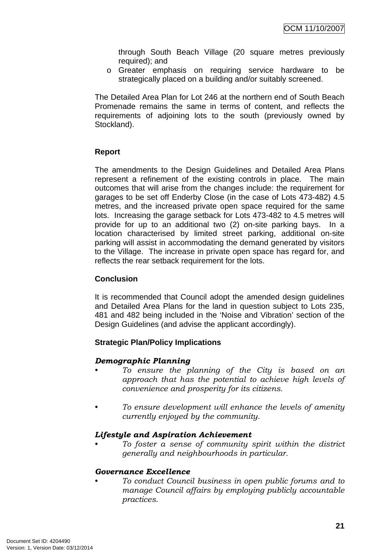through South Beach Village (20 square metres previously required); and

o Greater emphasis on requiring service hardware to be strategically placed on a building and/or suitably screened.

The Detailed Area Plan for Lot 246 at the northern end of South Beach Promenade remains the same in terms of content, and reflects the requirements of adjoining lots to the south (previously owned by Stockland).

# **Report**

The amendments to the Design Guidelines and Detailed Area Plans represent a refinement of the existing controls in place. The main outcomes that will arise from the changes include: the requirement for garages to be set off Enderby Close (in the case of Lots 473-482) 4.5 metres, and the increased private open space required for the same lots. Increasing the garage setback for Lots 473-482 to 4.5 metres will provide for up to an additional two (2) on-site parking bays. In a location characterised by limited street parking, additional on-site parking will assist in accommodating the demand generated by visitors to the Village. The increase in private open space has regard for, and reflects the rear setback requirement for the lots.

# **Conclusion**

It is recommended that Council adopt the amended design guidelines and Detailed Area Plans for the land in question subject to Lots 235, 481 and 482 being included in the 'Noise and Vibration' section of the Design Guidelines (and advise the applicant accordingly).

# **Strategic Plan/Policy Implications**

#### *Demographic Planning*

- *To ensure the planning of the City is based on an approach that has the potential to achieve high levels of convenience and prosperity for its citizens.*
- *To ensure development will enhance the levels of amenity currently enjoyed by the community.*

#### *Lifestyle and Aspiration Achievement*

*• To foster a sense of community spirit within the district generally and neighbourhoods in particular.* 

#### *Governance Excellence*

*• To conduct Council business in open public forums and to manage Council affairs by employing publicly accountable practices.*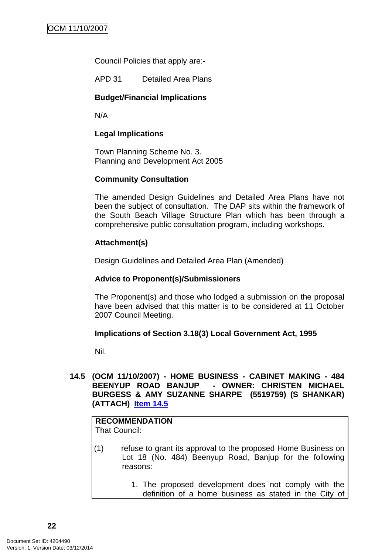<span id="page-25-0"></span>Council Policies that apply are:-

APD 31 Detailed Area Plans

#### **Budget/Financial Implications**

N/A

#### **Legal Implications**

Town Planning Scheme No. 3. Planning and Development Act 2005

#### **Community Consultation**

The amended Design Guidelines and Detailed Area Plans have not been the subject of consultation. The DAP sits within the framework of the South Beach Village Structure Plan which has been through a comprehensive public consultation program, including workshops.

#### **Attachment(s)**

Design Guidelines and Detailed Area Plan (Amended)

#### **Advice to Proponent(s)/Submissioners**

The Proponent(s) and those who lodged a submission on the proposal have been advised that this matter is to be considered at 11 October 2007 Council Meeting.

#### **Implications of Section 3.18(3) Local Government Act, 1995**

Nil.

## **14.5 (OCM 11/10/2007) - HOME BUSINESS - CABINET MAKING - 484 BEENYUP ROAD BANJUP - OWNER: CHRISTEN MICHAEL BURGESS & AMY SUZANNE SHARPE (5519759) (S SHANKAR) (ATTACH) Item 14.5**

# **RECOMMENDATION**

That Council:

- (1) refuse to grant its approval to the proposed Home Business on Lot 18 (No. 484) Beenyup Road, Banjup for the following reasons:
	- 1. The proposed development does not comply with the definition of a home business as stated in the City of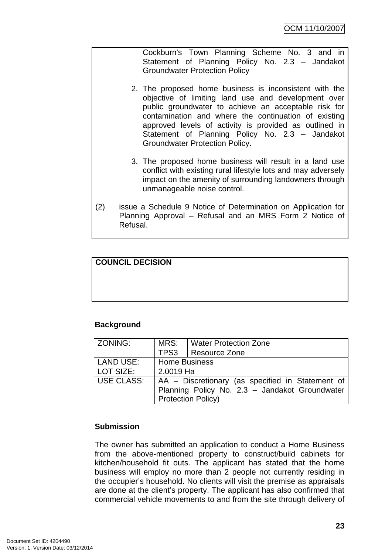Cockburn's Town Planning Scheme No. 3 and in Statement of Planning Policy No. 2.3 – Jandakot Groundwater Protection Policy

- 2. The proposed home business is inconsistent with the objective of limiting land use and development over public groundwater to achieve an acceptable risk for contamination and where the continuation of existing approved levels of activity is provided as outlined in Statement of Planning Policy No. 2.3 – Jandakot Groundwater Protection Policy.
- 3. The proposed home business will result in a land use conflict with existing rural lifestyle lots and may adversely impact on the amenity of surrounding landowners through unmanageable noise control.
- (2) issue a Schedule 9 Notice of Determination on Application for Planning Approval – Refusal and an MRS Form 2 Notice of Refusal.

# **COUNCIL DECISION**

#### **Background**

| ZONING:           | MRS:                                             | Water Protection Zone |  |
|-------------------|--------------------------------------------------|-----------------------|--|
|                   |                                                  | TPS3   Resource Zone  |  |
| LAND USE:         | <b>Home Business</b>                             |                       |  |
| LOT SIZE:         | 2.0019 Ha                                        |                       |  |
| <b>USE CLASS:</b> | AA – Discretionary (as specified in Statement of |                       |  |
|                   | Planning Policy No. 2.3 - Jandakot Groundwater   |                       |  |
|                   | <b>Protection Policy)</b>                        |                       |  |

#### **Submission**

The owner has submitted an application to conduct a Home Business from the above-mentioned property to construct/build cabinets for kitchen/household fit outs. The applicant has stated that the home business will employ no more than 2 people not currently residing in the occupier's household. No clients will visit the premise as appraisals are done at the client's property. The applicant has also confirmed that commercial vehicle movements to and from the site through delivery of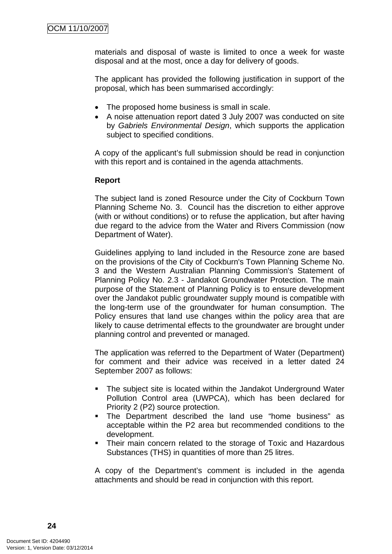materials and disposal of waste is limited to once a week for waste disposal and at the most, once a day for delivery of goods.

The applicant has provided the following justification in support of the proposal, which has been summarised accordingly:

- The proposed home business is small in scale.
- A noise attenuation report dated 3 July 2007 was conducted on site by *Gabriels Environmental Design*, which supports the application subject to specified conditions.

A copy of the applicant's full submission should be read in conjunction with this report and is contained in the agenda attachments.

#### **Report**

The subject land is zoned Resource under the City of Cockburn Town Planning Scheme No. 3. Council has the discretion to either approve (with or without conditions) or to refuse the application, but after having due regard to the advice from the Water and Rivers Commission (now Department of Water).

Guidelines applying to land included in the Resource zone are based on the provisions of the City of Cockburn's Town Planning Scheme No. 3 and the Western Australian Planning Commission's Statement of Planning Policy No. 2.3 - Jandakot Groundwater Protection. The main purpose of the Statement of Planning Policy is to ensure development over the Jandakot public groundwater supply mound is compatible with the long-term use of the groundwater for human consumption. The Policy ensures that land use changes within the policy area that are likely to cause detrimental effects to the groundwater are brought under planning control and prevented or managed.

The application was referred to the Department of Water (Department) for comment and their advice was received in a letter dated 24 September 2007 as follows:

- The subject site is located within the Jandakot Underground Water Pollution Control area (UWPCA), which has been declared for Priority 2 (P2) source protection.
- The Department described the land use "home business" as acceptable within the P2 area but recommended conditions to the development.
- Their main concern related to the storage of Toxic and Hazardous Substances (THS) in quantities of more than 25 litres.

A copy of the Department's comment is included in the agenda attachments and should be read in conjunction with this report.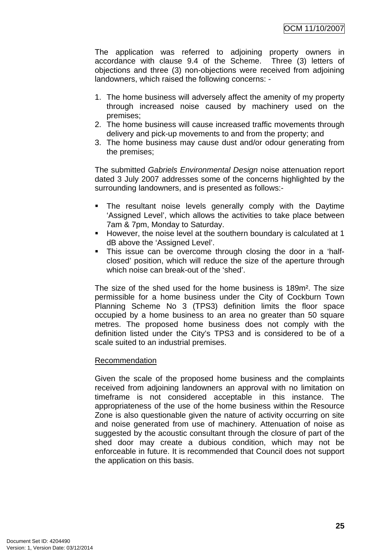The application was referred to adjoining property owners in accordance with clause 9.4 of the Scheme. Three (3) letters of objections and three (3) non-objections were received from adjoining landowners, which raised the following concerns: -

- 1. The home business will adversely affect the amenity of my property through increased noise caused by machinery used on the premises;
- 2. The home business will cause increased traffic movements through delivery and pick-up movements to and from the property; and
- 3. The home business may cause dust and/or odour generating from the premises;

The submitted *Gabriels Environmental Design* noise attenuation report dated 3 July 2007 addresses some of the concerns highlighted by the surrounding landowners, and is presented as follows:-

- The resultant noise levels generally comply with the Daytime 'Assigned Level', which allows the activities to take place between 7am & 7pm, Monday to Saturday.
- However, the noise level at the southern boundary is calculated at 1 dB above the 'Assigned Level'.
- This issue can be overcome through closing the door in a 'halfclosed' position, which will reduce the size of the aperture through which noise can break-out of the 'shed'.

The size of the shed used for the home business is 189m². The size permissible for a home business under the City of Cockburn Town Planning Scheme No 3 (TPS3) definition limits the floor space occupied by a home business to an area no greater than 50 square metres. The proposed home business does not comply with the definition listed under the City's TPS3 and is considered to be of a scale suited to an industrial premises.

#### Recommendation

Given the scale of the proposed home business and the complaints received from adjoining landowners an approval with no limitation on timeframe is not considered acceptable in this instance. The appropriateness of the use of the home business within the Resource Zone is also questionable given the nature of activity occurring on site and noise generated from use of machinery. Attenuation of noise as suggested by the acoustic consultant through the closure of part of the shed door may create a dubious condition, which may not be enforceable in future. It is recommended that Council does not support the application on this basis.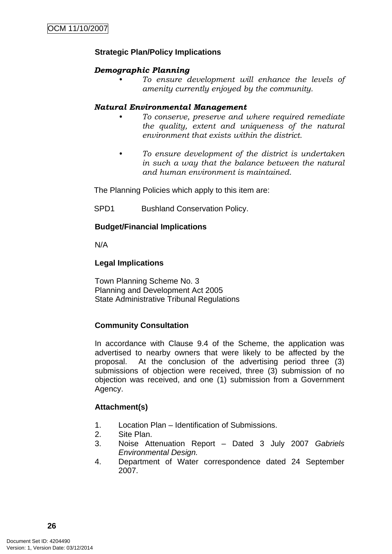# **Strategic Plan/Policy Implications**

### *Demographic Planning*

*• To ensure development will enhance the levels of amenity currently enjoyed by the community.*

#### *Natural Environmental Management*

- *To conserve, preserve and where required remediate the quality, extent and uniqueness of the natural environment that exists within the district.*
- *To ensure development of the district is undertaken in such a way that the balance between the natural and human environment is maintained.*

The Planning Policies which apply to this item are:

SPD1 Bushland Conservation Policy.

# **Budget/Financial Implications**

N/A

#### **Legal Implications**

Town Planning Scheme No. 3 Planning and Development Act 2005 State Administrative Tribunal Regulations

#### **Community Consultation**

In accordance with Clause 9.4 of the Scheme, the application was advertised to nearby owners that were likely to be affected by the proposal. At the conclusion of the advertising period three (3) submissions of objection were received, three (3) submission of no objection was received, and one (1) submission from a Government Agency.

#### **Attachment(s)**

- 1. Location Plan Identification of Submissions.
- 2. Site Plan.
- 3. Noise Attenuation Report Dated 3 July 2007 *Gabriels Environmental Design.*
- 4. Department of Water correspondence dated 24 September 2007.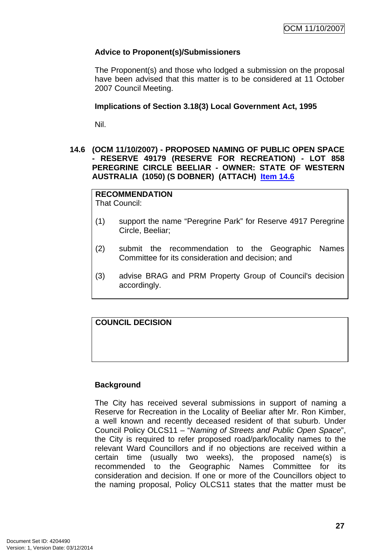# <span id="page-30-0"></span>**Advice to Proponent(s)/Submissioners**

The Proponent(s) and those who lodged a submission on the proposal have been advised that this matter is to be considered at 11 October 2007 Council Meeting.

## **Implications of Section 3.18(3) Local Government Act, 1995**

Nil.

# **14.6 (OCM 11/10/2007) - PROPOSED NAMING OF PUBLIC OPEN SPACE - RESERVE 49179 (RESERVE FOR RECREATION) - LOT 858 PEREGRINE CIRCLE BEELIAR - OWNER: STATE OF WESTERN AUSTRALIA (1050) (S DOBNER) (ATTACH) Item 14.6**

# **RECOMMENDATION**

That Council:

- (1) support the name "Peregrine Park" for Reserve 4917 Peregrine Circle, Beeliar;
- (2) submit the recommendation to the Geographic Names Committee for its consideration and decision; and
- (3) advise BRAG and PRM Property Group of Council's decision accordingly.

# **COUNCIL DECISION**

# **Background**

The City has received several submissions in support of naming a Reserve for Recreation in the Locality of Beeliar after Mr. Ron Kimber, a well known and recently deceased resident of that suburb. Under Council Policy OLCS11 – "*Naming of Streets and Public Open Space*", the City is required to refer proposed road/park/locality names to the relevant Ward Councillors and if no objections are received within a certain time (usually two weeks), the proposed name(s) is recommended to the Geographic Names Committee for its consideration and decision. If one or more of the Councillors object to the naming proposal, Policy OLCS11 states that the matter must be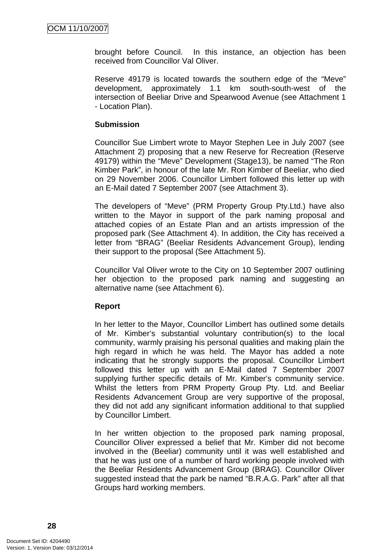brought before Council. In this instance, an objection has been received from Councillor Val Oliver.

Reserve 49179 is located towards the southern edge of the "Meve" development, approximately 1.1 km south-south-west of the intersection of Beeliar Drive and Spearwood Avenue (see Attachment 1 - Location Plan).

#### **Submission**

Councillor Sue Limbert wrote to Mayor Stephen Lee in July 2007 (see Attachment 2) proposing that a new Reserve for Recreation (Reserve 49179) within the "Meve" Development (Stage13), be named "The Ron Kimber Park", in honour of the late Mr. Ron Kimber of Beeliar, who died on 29 November 2006. Councillor Limbert followed this letter up with an E-Mail dated 7 September 2007 (see Attachment 3).

The developers of "Meve" (PRM Property Group Pty.Ltd.) have also written to the Mayor in support of the park naming proposal and attached copies of an Estate Plan and an artists impression of the proposed park (See Attachment 4). In addition, the City has received a letter from "BRAG" (Beeliar Residents Advancement Group), lending their support to the proposal (See Attachment 5).

Councillor Val Oliver wrote to the City on 10 September 2007 outlining her objection to the proposed park naming and suggesting an alternative name (see Attachment 6).

#### **Report**

In her letter to the Mayor, Councillor Limbert has outlined some details of Mr. Kimber's substantial voluntary contribution(s) to the local community, warmly praising his personal qualities and making plain the high regard in which he was held. The Mayor has added a note indicating that he strongly supports the proposal. Councillor Limbert followed this letter up with an E-Mail dated 7 September 2007 supplying further specific details of Mr. Kimber's community service. Whilst the letters from PRM Property Group Pty. Ltd. and Beeliar Residents Advancement Group are very supportive of the proposal, they did not add any significant information additional to that supplied by Councillor Limbert.

In her written objection to the proposed park naming proposal, Councillor Oliver expressed a belief that Mr. Kimber did not become involved in the (Beeliar) community until it was well established and that he was just one of a number of hard working people involved with the Beeliar Residents Advancement Group (BRAG). Councillor Oliver suggested instead that the park be named "B.R.A.G. Park" after all that Groups hard working members.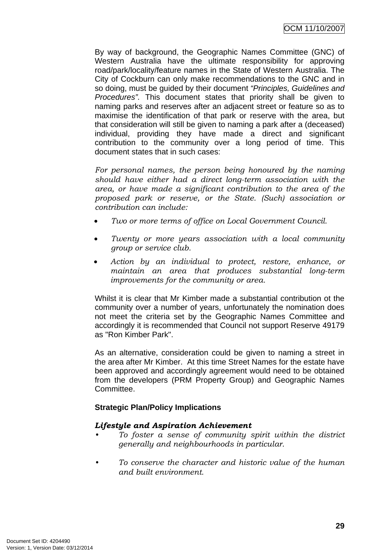By way of background, the Geographic Names Committee (GNC) of Western Australia have the ultimate responsibility for approving road/park/locality/feature names in the State of Western Australia. The City of Cockburn can only make recommendations to the GNC and in so doing, must be guided by their document *"Principles, Guidelines and Procedures".* This document states that priority shall be given to naming parks and reserves after an adjacent street or feature so as to maximise the identification of that park or reserve with the area, but that consideration will still be given to naming a park after a (deceased) individual, providing they have made a direct and significant contribution to the community over a long period of time. This document states that in such cases:

*For personal names, the person being honoured by the naming should have either had a direct long-term association with the area, or have made a significant contribution to the area of the proposed park or reserve, or the State. (Such) association or contribution can include:* 

- *Two or more terms of office on Local Government Council.*
- *Twenty or more years association with a local community group or service club.*
- *Action by an individual to protect, restore, enhance, or maintain an area that produces substantial long-term improvements for the community or area.*

Whilst it is clear that Mr Kimber made a substantial contribution ot the community over a number of years, unfortunately the nomination does not meet the criteria set by the Geographic Names Committee and accordingly it is recommended that Council not support Reserve 49179 as "Ron Kimber Park".

As an alternative, consideration could be given to naming a street in the area after Mr Kimber. At this time Street Names for the estate have been approved and accordingly agreement would need to be obtained from the developers (PRM Property Group) and Geographic Names Committee.

# **Strategic Plan/Policy Implications**

#### *Lifestyle and Aspiration Achievement*

- *To foster a sense of community spirit within the district generally and neighbourhoods in particular.*
- *To conserve the character and historic value of the human and built environment.*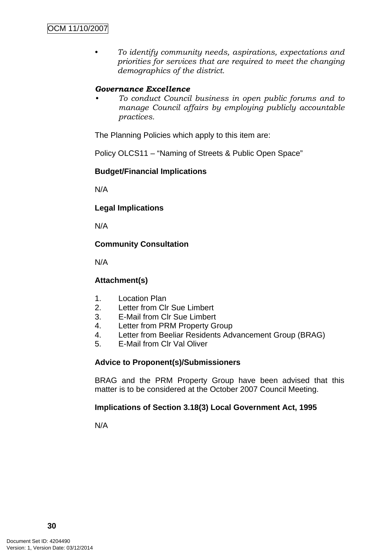*• To identify community needs, aspirations, expectations and priorities for services that are required to meet the changing demographics of the district.* 

# *Governance Excellence*

*• To conduct Council business in open public forums and to manage Council affairs by employing publicly accountable practices.* 

The Planning Policies which apply to this item are:

Policy OLCS11 – "Naming of Streets & Public Open Space"

#### **Budget/Financial Implications**

N/A

#### **Legal Implications**

N/A

#### **Community Consultation**

N/A

## **Attachment(s)**

- 1. Location Plan
- 2. Letter from Clr Sue Limbert
- 3. E-Mail from Clr Sue Limbert
- 4. Letter from PRM Property Group
- 4. Letter from Beeliar Residents Advancement Group (BRAG)
- 5. E-Mail from Clr Val Oliver

#### **Advice to Proponent(s)/Submissioners**

BRAG and the PRM Property Group have been advised that this matter is to be considered at the October 2007 Council Meeting.

#### **Implications of Section 3.18(3) Local Government Act, 1995**

N/A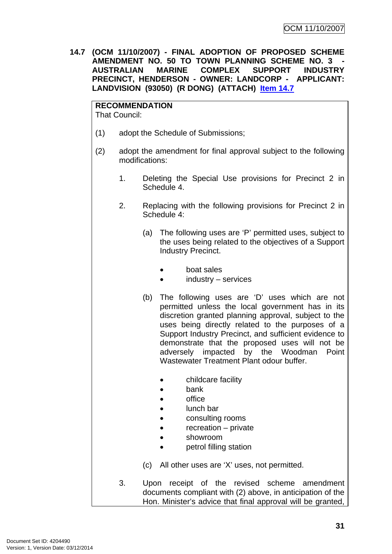<span id="page-34-0"></span>**14.7 (OCM 11/10/2007) - FINAL ADOPTION OF PROPOSED SCHEME AMENDMENT NO. 50 TO TOWN PLANNING SCHEME NO. 3 AUSTRALIAN MARINE COMPLEX SUPPORT INDUSTRY PRECINCT, HENDERSON - OWNER: LANDCORP - APPLICANT: LANDVISION (93050) (R DONG) (ATTACH) Item 14.7**

**RECOMMENDATION** That Council:

- (1) adopt the Schedule of Submissions;
- (2) adopt the amendment for final approval subject to the following modifications:
	- 1. Deleting the Special Use provisions for Precinct 2 in Schedule 4.
	- 2. Replacing with the following provisions for Precinct 2 in Schedule 4:
		- (a) The following uses are 'P' permitted uses, subject to the uses being related to the objectives of a Support Industry Precinct.
			- boat sales
			- $industry -$  services
		- (b) The following uses are 'D' uses which are not permitted unless the local government has in its discretion granted planning approval, subject to the uses being directly related to the purposes of a Support Industry Precinct, and sufficient evidence to demonstrate that the proposed uses will not be adversely impacted by the Woodman Point Wastewater Treatment Plant odour buffer.
			- childcare facility
			- bank
			- office
			- lunch bar
			- consulting rooms
			- $recreation private$
			- showroom
			- petrol filling station
		- (c) All other uses are 'X' uses, not permitted.
	- 3. Upon receipt of the revised scheme amendment documents compliant with (2) above, in anticipation of the Hon. Minister's advice that final approval will be granted,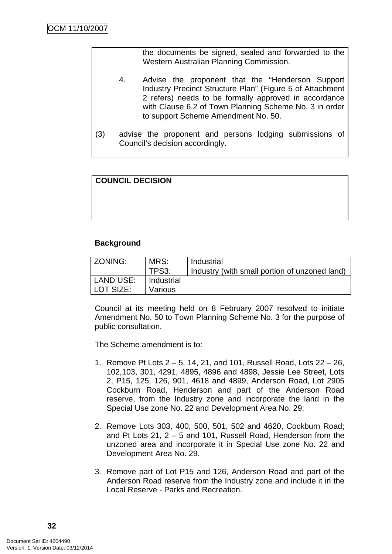the documents be signed, sealed and forwarded to the Western Australian Planning Commission.

- 4. Advise the proponent that the "Henderson Support Industry Precinct Structure Plan" (Figure 5 of Attachment 2 refers) needs to be formally approved in accordance with Clause 6.2 of Town Planning Scheme No. 3 in order to support Scheme Amendment No. 50.
- (3) advise the proponent and persons lodging submissions of Council's decision accordingly.

# **COUNCIL DECISION**

#### **Background**

| ZONING:          | MRS:       | Industrial                                    |
|------------------|------------|-----------------------------------------------|
|                  | TPS3:      | Industry (with small portion of unzoned land) |
| <b>LAND USE:</b> | Industrial |                                               |
| LOT SIZE:        | Various    |                                               |

Council at its meeting held on 8 February 2007 resolved to initiate Amendment No. 50 to Town Planning Scheme No. 3 for the purpose of public consultation.

The Scheme amendment is to:

- 1. Remove Pt Lots 2 5, 14, 21, and 101, Russell Road, Lots 22 26, 102,103, 301, 4291, 4895, 4896 and 4898, Jessie Lee Street, Lots 2, P15, 125, 126, 901, 4618 and 4899, Anderson Road, Lot 2905 Cockburn Road, Henderson and part of the Anderson Road reserve, from the Industry zone and incorporate the land in the Special Use zone No. 22 and Development Area No. 29;
- 2. Remove Lots 303, 400, 500, 501, 502 and 4620, Cockburn Road; and Pt Lots 21, 2 – 5 and 101, Russell Road, Henderson from the unzoned area and incorporate it in Special Use zone No. 22 and Development Area No. 29.
- 3. Remove part of Lot P15 and 126, Anderson Road and part of the Anderson Road reserve from the Industry zone and include it in the Local Reserve - Parks and Recreation.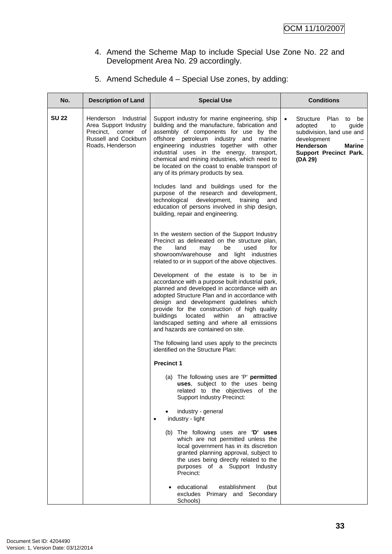# 4. Amend the Scheme Map to include Special Use Zone No. 22 and Development Area No. 29 accordingly.

# 5. Amend Schedule 4 – Special Use zones, by adding:

| No.          | <b>Description of Land</b>                                                                                          | <b>Special Use</b>                                                                                                                                                                                                                                                                                                                                                                                                             | <b>Conditions</b>                                                                                                                                                                                 |
|--------------|---------------------------------------------------------------------------------------------------------------------|--------------------------------------------------------------------------------------------------------------------------------------------------------------------------------------------------------------------------------------------------------------------------------------------------------------------------------------------------------------------------------------------------------------------------------|---------------------------------------------------------------------------------------------------------------------------------------------------------------------------------------------------|
| <b>SU 22</b> | Henderson<br>Industrial<br>Area Support Industry<br>Precinct, corner of<br>Russell and Cockburn<br>Roads, Henderson | Support industry for marine engineering, ship<br>building and the manufacture, fabrication and<br>assembly of components for use by the<br>offshore petroleum industry and marine<br>engineering industries together with other<br>industrial uses in the energy, transport,<br>chemical and mining industries, which need to<br>be located on the coast to enable transport of<br>any of its primary products by sea.         | <b>Structure</b><br>Plan<br>be<br>$\bullet$<br>to<br>adopted<br>to<br>guide<br>subdivision, land use and<br>development<br><b>Henderson</b><br>Marine<br><b>Support Precinct Park.</b><br>(DA 29) |
|              |                                                                                                                     | Includes land and buildings used for the<br>purpose of the research and development,<br>technological development,<br>training<br>and<br>education of persons involved in ship design,<br>building, repair and engineering.                                                                                                                                                                                                    |                                                                                                                                                                                                   |
|              |                                                                                                                     | In the western section of the Support Industry<br>Precinct as delineated on the structure plan,<br>land<br>used<br>the<br>may<br>be<br>for<br>showroom/warehouse and light industries<br>related to or in support of the above objectives.                                                                                                                                                                                     |                                                                                                                                                                                                   |
|              |                                                                                                                     | Development of the estate is to be in<br>accordance with a purpose built industrial park,<br>planned and developed in accordance with an<br>adopted Structure Plan and in accordance with<br>design and development guidelines which<br>provide for the construction of high quality<br>within<br>buildings<br>located<br>attractive<br>an<br>landscaped setting and where all emissions<br>and hazards are contained on site. |                                                                                                                                                                                                   |
|              |                                                                                                                     | The following land uses apply to the precincts<br>identified on the Structure Plan:                                                                                                                                                                                                                                                                                                                                            |                                                                                                                                                                                                   |
|              |                                                                                                                     | <b>Precinct 1</b>                                                                                                                                                                                                                                                                                                                                                                                                              |                                                                                                                                                                                                   |
|              |                                                                                                                     | (a) The following uses are 'P' permitted<br>uses, subject to the uses being<br>related to the objectives of the<br><b>Support Industry Precinct:</b>                                                                                                                                                                                                                                                                           |                                                                                                                                                                                                   |
|              |                                                                                                                     | industry - general<br>industry - light                                                                                                                                                                                                                                                                                                                                                                                         |                                                                                                                                                                                                   |
|              |                                                                                                                     | (b) The following uses are 'D' uses<br>which are not permitted unless the<br>local government has in its discretion<br>granted planning approval, subject to<br>the uses being directly related to the<br>purposes of a Support Industry<br>Precinct:                                                                                                                                                                          |                                                                                                                                                                                                   |
|              |                                                                                                                     | educational<br>establishment<br>(but<br>excludes Primary and Secondary<br>Schools)                                                                                                                                                                                                                                                                                                                                             |                                                                                                                                                                                                   |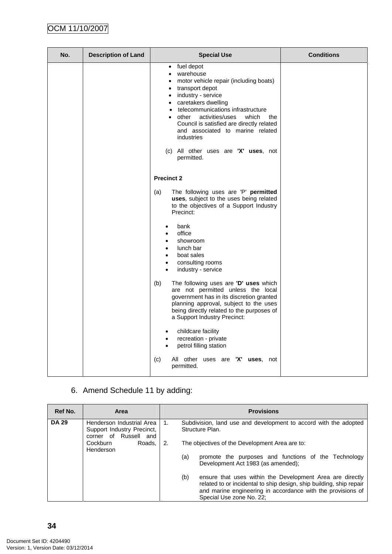| No. | <b>Description of Land</b> | <b>Special Use</b>                                                                                                                                                                                                                                                                                                                                                                                                         | <b>Conditions</b> |
|-----|----------------------------|----------------------------------------------------------------------------------------------------------------------------------------------------------------------------------------------------------------------------------------------------------------------------------------------------------------------------------------------------------------------------------------------------------------------------|-------------------|
|     |                            | fuel depot<br>$\bullet$<br>warehouse<br>٠<br>motor vehicle repair (including boats)<br>$\bullet$<br>transport depot<br>٠<br>industry - service<br>$\bullet$<br>• caretakers dwelling<br>telecommunications infrastructure<br>other<br>activities/uses<br>which<br>the<br>Council is satisfied are directly related<br>and associated to marine related<br>industries<br>(c) All other uses are 'X' uses, not<br>permitted. |                   |
|     |                            | <b>Precinct 2</b>                                                                                                                                                                                                                                                                                                                                                                                                          |                   |
|     |                            | The following uses are 'P' permitted<br>(a)<br>uses, subject to the uses being related<br>to the objectives of a Support Industry<br>Precinct:                                                                                                                                                                                                                                                                             |                   |
|     |                            | bank<br>$\bullet$<br>office<br>showroom<br>lunch bar<br>$\bullet$<br>boat sales<br>$\bullet$<br>consulting rooms<br>$\bullet$<br>industry - service<br>$\bullet$                                                                                                                                                                                                                                                           |                   |
|     |                            | The following uses are 'D' uses which<br>(b)<br>are not permitted unless the local<br>government has in its discretion granted<br>planning approval, subject to the uses<br>being directly related to the purposes of<br>a Support Industry Precinct:                                                                                                                                                                      |                   |
|     |                            | childcare facility<br>$\bullet$<br>recreation - private<br>petrol filling station                                                                                                                                                                                                                                                                                                                                          |                   |
|     |                            | All other uses are 'X' uses, not<br>(c)<br>permitted.                                                                                                                                                                                                                                                                                                                                                                      |                   |

6. Amend Schedule 11 by adding:

| Ref No.      | Area                                                                             |    | <b>Provisions</b>                                                                                                                                                                                                                  |
|--------------|----------------------------------------------------------------------------------|----|------------------------------------------------------------------------------------------------------------------------------------------------------------------------------------------------------------------------------------|
| <b>DA 29</b> | Henderson Industrial Area<br>Support Industry Precinct,<br>corner of Russell and | 1. | Subdivision, land use and development to accord with the adopted<br>Structure Plan.                                                                                                                                                |
|              | Cockburn<br>Roads,<br>Henderson                                                  | 2. | The objectives of the Development Area are to:<br>(a)<br>promote the purposes and functions of the Technology<br>Development Act 1983 (as amended);                                                                                |
|              |                                                                                  |    | (b)<br>ensure that uses within the Development Area are directly<br>related to or incidental to ship design, ship building, ship repair<br>and marine engineering in accordance with the provisions of<br>Special Use zone No. 22; |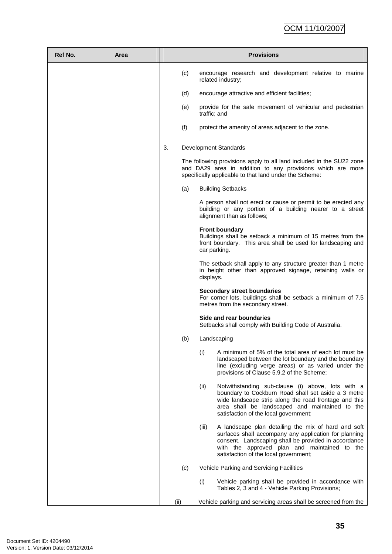# OCM 11/10/2007

| Ref No. | Area | <b>Provisions</b> |                                                                                                                                                                                                                                                                        |
|---------|------|-------------------|------------------------------------------------------------------------------------------------------------------------------------------------------------------------------------------------------------------------------------------------------------------------|
|         |      | (c)               | encourage research and development relative to marine<br>related industry;                                                                                                                                                                                             |
|         |      | (d)               | encourage attractive and efficient facilities;                                                                                                                                                                                                                         |
|         |      | (e)               | provide for the safe movement of vehicular and pedestrian<br>traffic; and                                                                                                                                                                                              |
|         |      | (f)               | protect the amenity of areas adjacent to the zone.                                                                                                                                                                                                                     |
|         |      | 3.                | Development Standards                                                                                                                                                                                                                                                  |
|         |      |                   | The following provisions apply to all land included in the SU22 zone<br>and DA29 area in addition to any provisions which are more<br>specifically applicable to that land under the Scheme:                                                                           |
|         |      | (a)               | <b>Building Setbacks</b>                                                                                                                                                                                                                                               |
|         |      |                   | A person shall not erect or cause or permit to be erected any<br>building or any portion of a building nearer to a street<br>alignment than as follows;                                                                                                                |
|         |      |                   | <b>Front boundary</b><br>Buildings shall be setback a minimum of 15 metres from the<br>front boundary. This area shall be used for landscaping and<br>car parking.                                                                                                     |
|         |      |                   | The setback shall apply to any structure greater than 1 metre<br>in height other than approved signage, retaining walls or<br>displays.                                                                                                                                |
|         |      |                   | <b>Secondary street boundaries</b><br>For corner lots, buildings shall be setback a minimum of 7.5<br>metres from the secondary street.                                                                                                                                |
|         |      |                   | Side and rear boundaries<br>Setbacks shall comply with Building Code of Australia.                                                                                                                                                                                     |
|         |      | (b)               | Landscaping                                                                                                                                                                                                                                                            |
|         |      |                   | A minimum of 5% of the total area of each lot must be<br>(i)<br>landscaped between the lot boundary and the boundary<br>line (excluding verge areas) or as varied under the<br>provisions of Clause 5.9.2 of the Scheme;                                               |
|         |      |                   | Notwithstanding sub-clause (i) above, lots with a<br>(ii)<br>boundary to Cockburn Road shall set aside a 3 metre<br>wide landscape strip along the road frontage and this<br>area shall be landscaped and maintained to the<br>satisfaction of the local government;   |
|         |      |                   | A landscape plan detailing the mix of hard and soft<br>(iii)<br>surfaces shall accompany any application for planning<br>consent. Landscaping shall be provided in accordance<br>with the approved plan and maintained to the<br>satisfaction of the local government; |
|         |      | (c)               | Vehicle Parking and Servicing Facilities                                                                                                                                                                                                                               |
|         |      |                   | (i)<br>Vehicle parking shall be provided in accordance with<br>Tables 2, 3 and 4 - Vehicle Parking Provisions;                                                                                                                                                         |
|         |      | (ii)              | Vehicle parking and servicing areas shall be screened from the                                                                                                                                                                                                         |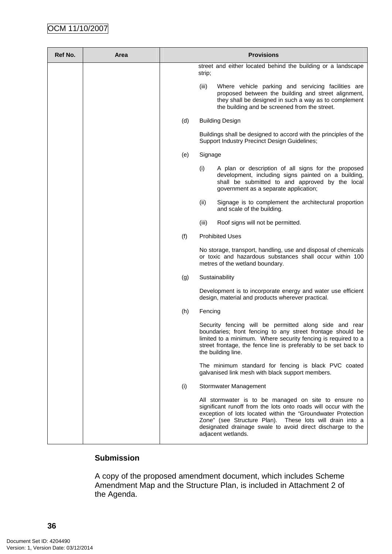# OCM 11/10/2007

| Ref No. | Area | <b>Provisions</b> |                                                                                                                                                                                                                                                                                                                                         |
|---------|------|-------------------|-----------------------------------------------------------------------------------------------------------------------------------------------------------------------------------------------------------------------------------------------------------------------------------------------------------------------------------------|
|         |      |                   | street and either located behind the building or a landscape<br>strip;                                                                                                                                                                                                                                                                  |
|         |      |                   | (iii)<br>Where vehicle parking and servicing facilities are<br>proposed between the building and street alignment,<br>they shall be designed in such a way as to complement<br>the building and be screened from the street.                                                                                                            |
|         |      | (d)               | <b>Building Design</b>                                                                                                                                                                                                                                                                                                                  |
|         |      |                   | Buildings shall be designed to accord with the principles of the<br>Support Industry Precinct Design Guidelines;                                                                                                                                                                                                                        |
|         |      | (e)               | Signage                                                                                                                                                                                                                                                                                                                                 |
|         |      |                   | (i)<br>A plan or description of all signs for the proposed<br>development, including signs painted on a building,<br>shall be submitted to and approved by the local<br>government as a separate application;                                                                                                                           |
|         |      |                   | (ii)<br>Signage is to complement the architectural proportion<br>and scale of the building.                                                                                                                                                                                                                                             |
|         |      |                   | (iii)<br>Roof signs will not be permitted.                                                                                                                                                                                                                                                                                              |
|         |      | (f)               | <b>Prohibited Uses</b>                                                                                                                                                                                                                                                                                                                  |
|         |      |                   | No storage, transport, handling, use and disposal of chemicals<br>or toxic and hazardous substances shall occur within 100<br>metres of the wetland boundary.                                                                                                                                                                           |
|         |      | (g)               | Sustainability                                                                                                                                                                                                                                                                                                                          |
|         |      |                   | Development is to incorporate energy and water use efficient<br>design, material and products wherever practical.                                                                                                                                                                                                                       |
|         |      | (h)               | Fencing                                                                                                                                                                                                                                                                                                                                 |
|         |      |                   | Security fencing will be permitted along side and rear<br>boundaries; front fencing to any street frontage should be<br>limited to a minimum. Where security fencing is required to a<br>street frontage, the fence line is preferably to be set back to<br>the building line.                                                          |
|         |      |                   | The minimum standard for fencing is black PVC coated<br>galvanised link mesh with black support members.                                                                                                                                                                                                                                |
|         |      | (i)               | Stormwater Management                                                                                                                                                                                                                                                                                                                   |
|         |      |                   | All stormwater is to be managed on site to ensure no<br>significant runoff from the lots onto roads will occur with the<br>exception of lots located within the "Groundwater Protection<br>Zone" (see Structure Plan). These lots will drain into a<br>designated drainage swale to avoid direct discharge to the<br>adjacent wetlands. |

# **Submission**

A copy of the proposed amendment document, which includes Scheme Amendment Map and the Structure Plan, is included in Attachment 2 of the Agenda.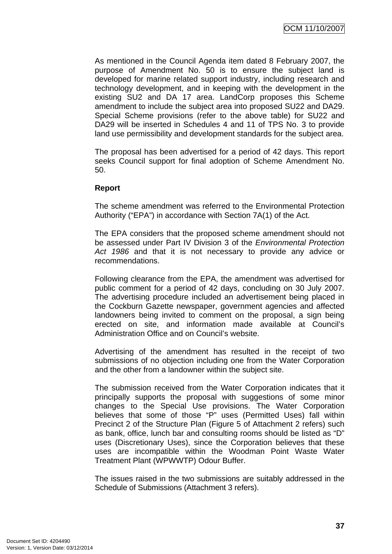As mentioned in the Council Agenda item dated 8 February 2007, the purpose of Amendment No. 50 is to ensure the subject land is developed for marine related support industry, including research and technology development, and in keeping with the development in the existing SU2 and DA 17 area. LandCorp proposes this Scheme amendment to include the subject area into proposed SU22 and DA29. Special Scheme provisions (refer to the above table) for SU22 and DA29 will be inserted in Schedules 4 and 11 of TPS No. 3 to provide land use permissibility and development standards for the subject area.

The proposal has been advertised for a period of 42 days. This report seeks Council support for final adoption of Scheme Amendment No. 50.

# **Report**

The scheme amendment was referred to the Environmental Protection Authority ("EPA") in accordance with Section 7A(1) of the Act.

The EPA considers that the proposed scheme amendment should not be assessed under Part IV Division 3 of the *Environmental Protection Act 1986* and that it is not necessary to provide any advice or recommendations.

Following clearance from the EPA, the amendment was advertised for public comment for a period of 42 days, concluding on 30 July 2007. The advertising procedure included an advertisement being placed in the Cockburn Gazette newspaper, government agencies and affected landowners being invited to comment on the proposal, a sign being erected on site, and information made available at Council's Administration Office and on Council's website.

Advertising of the amendment has resulted in the receipt of two submissions of no objection including one from the Water Corporation and the other from a landowner within the subject site.

The submission received from the Water Corporation indicates that it principally supports the proposal with suggestions of some minor changes to the Special Use provisions. The Water Corporation believes that some of those "P" uses (Permitted Uses) fall within Precinct 2 of the Structure Plan (Figure 5 of Attachment 2 refers) such as bank, office, lunch bar and consulting rooms should be listed as "D" uses (Discretionary Uses), since the Corporation believes that these uses are incompatible within the Woodman Point Waste Water Treatment Plant (WPWWTP) Odour Buffer.

The issues raised in the two submissions are suitably addressed in the Schedule of Submissions (Attachment 3 refers).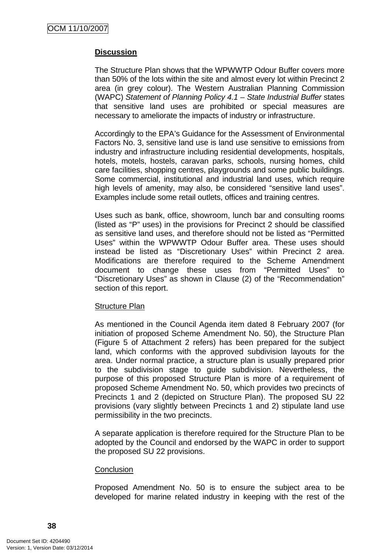# **Discussion**

The Structure Plan shows that the WPWWTP Odour Buffer covers more than 50% of the lots within the site and almost every lot within Precinct 2 area (in grey colour). The Western Australian Planning Commission (WAPC) *Statement of Planning Policy 4.1 – State Industrial Buffer* states that sensitive land uses are prohibited or special measures are necessary to ameliorate the impacts of industry or infrastructure.

Accordingly to the EPA's Guidance for the Assessment of Environmental Factors No. 3, sensitive land use is land use sensitive to emissions from industry and infrastructure including residential developments, hospitals, hotels, motels, hostels, caravan parks, schools, nursing homes, child care facilities, shopping centres, playgrounds and some public buildings. Some commercial, institutional and industrial land uses, which require high levels of amenity, may also, be considered "sensitive land uses". Examples include some retail outlets, offices and training centres.

Uses such as bank, office, showroom, lunch bar and consulting rooms (listed as "P" uses) in the provisions for Precinct 2 should be classified as sensitive land uses, and therefore should not be listed as "Permitted Uses" within the WPWWTP Odour Buffer area. These uses should instead be listed as "Discretionary Uses" within Precinct 2 area. Modifications are therefore required to the Scheme Amendment document to change these uses from "Permitted Uses" to "Discretionary Uses" as shown in Clause (2) of the "Recommendation" section of this report.

#### Structure Plan

As mentioned in the Council Agenda item dated 8 February 2007 (for initiation of proposed Scheme Amendment No. 50), the Structure Plan (Figure 5 of Attachment 2 refers) has been prepared for the subject land, which conforms with the approved subdivision layouts for the area. Under normal practice, a structure plan is usually prepared prior to the subdivision stage to guide subdivision. Nevertheless, the purpose of this proposed Structure Plan is more of a requirement of proposed Scheme Amendment No. 50, which provides two precincts of Precincts 1 and 2 (depicted on Structure Plan). The proposed SU 22 provisions (vary slightly between Precincts 1 and 2) stipulate land use permissibility in the two precincts.

A separate application is therefore required for the Structure Plan to be adopted by the Council and endorsed by the WAPC in order to support the proposed SU 22 provisions.

#### **Conclusion**

Proposed Amendment No. 50 is to ensure the subject area to be developed for marine related industry in keeping with the rest of the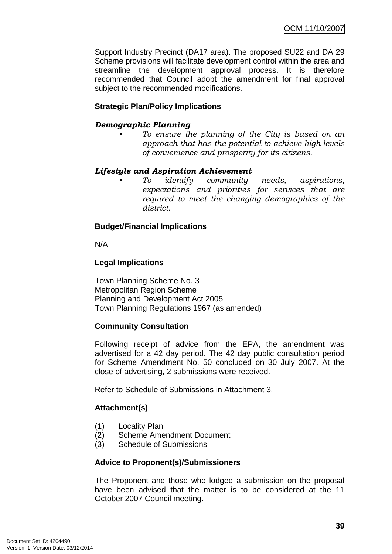Support Industry Precinct (DA17 area). The proposed SU22 and DA 29 Scheme provisions will facilitate development control within the area and streamline the development approval process. It is therefore recommended that Council adopt the amendment for final approval subject to the recommended modifications.

# **Strategic Plan/Policy Implications**

# *Demographic Planning*

*• To ensure the planning of the City is based on an approach that has the potential to achieve high levels of convenience and prosperity for its citizens.* 

# *Lifestyle and Aspiration Achievement*

*• To identify community needs, aspirations, expectations and priorities for services that are required to meet the changing demographics of the district.* 

# **Budget/Financial Implications**

N/A

# **Legal Implications**

Town Planning Scheme No. 3 Metropolitan Region Scheme Planning and Development Act 2005 Town Planning Regulations 1967 (as amended)

# **Community Consultation**

Following receipt of advice from the EPA, the amendment was advertised for a 42 day period. The 42 day public consultation period for Scheme Amendment No. 50 concluded on 30 July 2007. At the close of advertising, 2 submissions were received.

Refer to Schedule of Submissions in Attachment 3.

# **Attachment(s)**

- (1) Locality Plan
- (2) Scheme Amendment Document
- (3) Schedule of Submissions

#### **Advice to Proponent(s)/Submissioners**

The Proponent and those who lodged a submission on the proposal have been advised that the matter is to be considered at the 11 October 2007 Council meeting.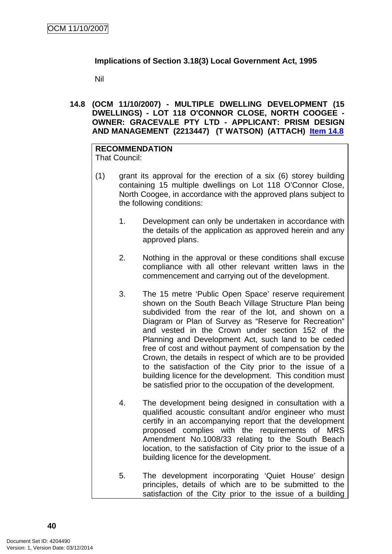# **Implications of Section 3.18(3) Local Government Act, 1995**

Nil

**14.8 (OCM 11/10/2007) - MULTIPLE DWELLING DEVELOPMENT (15 DWELLINGS) - LOT 118 O'CONNOR CLOSE, NORTH COOGEE - OWNER: GRACEVALE PTY LTD - APPLICANT: PRISM DESIGN AND MANAGEMENT (2213447) (T WATSON) (ATTACH) Item 14.8**

# **RECOMMENDATION**

That Council:

- (1) grant its approval for the erection of a six (6) storey building containing 15 multiple dwellings on Lot 118 O'Connor Close, North Coogee, in accordance with the approved plans subject to the following conditions:
	- 1. Development can only be undertaken in accordance with the details of the application as approved herein and any approved plans.
	- 2. Nothing in the approval or these conditions shall excuse compliance with all other relevant written laws in the commencement and carrying out of the development.
	- 3. The 15 metre 'Public Open Space' reserve requirement shown on the South Beach Village Structure Plan being subdivided from the rear of the lot, and shown on a Diagram or Plan of Survey as "Reserve for Recreation" and vested in the Crown under section 152 of the Planning and Development Act, such land to be ceded free of cost and without payment of compensation by the Crown, the details in respect of which are to be provided to the satisfaction of the City prior to the issue of a building licence for the development. This condition must be satisfied prior to the occupation of the development.
	- 4. The development being designed in consultation with a qualified acoustic consultant and/or engineer who must certify in an accompanying report that the development proposed complies with the requirements of MRS Amendment No.1008/33 relating to the South Beach location, to the satisfaction of City prior to the issue of a building licence for the development.
	- 5. The development incorporating 'Quiet House' design principles, details of which are to be submitted to the satisfaction of the City prior to the issue of a building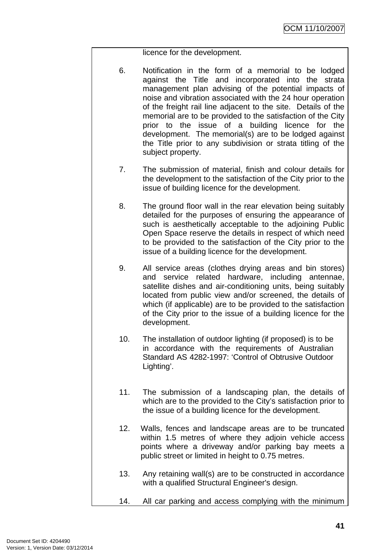# licence for the development.

- 6. Notification in the form of a memorial to be lodged against the Title and incorporated into the strata management plan advising of the potential impacts of noise and vibration associated with the 24 hour operation of the freight rail line adjacent to the site. Details of the memorial are to be provided to the satisfaction of the City prior to the issue of a building licence for the development. The memorial(s) are to be lodged against the Title prior to any subdivision or strata titling of the subject property.
- 7. The submission of material, finish and colour details for the development to the satisfaction of the City prior to the issue of building licence for the development.
- 8. The ground floor wall in the rear elevation being suitably detailed for the purposes of ensuring the appearance of such is aesthetically acceptable to the adjoining Public Open Space reserve the details in respect of which need to be provided to the satisfaction of the City prior to the issue of a building licence for the development.
- 9. All service areas (clothes drying areas and bin stores) and service related hardware, including antennae, satellite dishes and air-conditioning units, being suitably located from public view and/or screened, the details of which (if applicable) are to be provided to the satisfaction of the City prior to the issue of a building licence for the development.
- 10. The installation of outdoor lighting (if proposed) is to be in accordance with the requirements of Australian Standard AS 4282-1997: 'Control of Obtrusive Outdoor Lighting'.
- 11. The submission of a landscaping plan, the details of which are to the provided to the City's satisfaction prior to the issue of a building licence for the development.
- 12. Walls, fences and landscape areas are to be truncated within 1.5 metres of where they adjoin vehicle access points where a driveway and/or parking bay meets a public street or limited in height to 0.75 metres.
- 13. Any retaining wall(s) are to be constructed in accordance with a qualified Structural Engineer's design.
- 14. All car parking and access complying with the minimum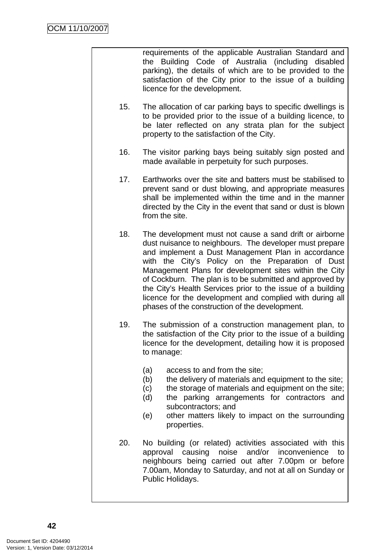requirements of the applicable Australian Standard and the Building Code of Australia (including disabled parking), the details of which are to be provided to the satisfaction of the City prior to the issue of a building licence for the development.

- 15. The allocation of car parking bays to specific dwellings is to be provided prior to the issue of a building licence, to be later reflected on any strata plan for the subject property to the satisfaction of the City.
- 16. The visitor parking bays being suitably sign posted and made available in perpetuity for such purposes.
- 17. Earthworks over the site and batters must be stabilised to prevent sand or dust blowing, and appropriate measures shall be implemented within the time and in the manner directed by the City in the event that sand or dust is blown from the site.
- 18. The development must not cause a sand drift or airborne dust nuisance to neighbours. The developer must prepare and implement a Dust Management Plan in accordance with the City's Policy on the Preparation of Dust Management Plans for development sites within the City of Cockburn. The plan is to be submitted and approved by the City's Health Services prior to the issue of a building licence for the development and complied with during all phases of the construction of the development.
- 19. The submission of a construction management plan, to the satisfaction of the City prior to the issue of a building licence for the development, detailing how it is proposed to manage:
	- (a) access to and from the site;
	- (b) the delivery of materials and equipment to the site:
	- (c) the storage of materials and equipment on the site;
	- (d) the parking arrangements for contractors and subcontractors; and
	- (e) other matters likely to impact on the surrounding properties.
- 20. No building (or related) activities associated with this approval causing noise and/or inconvenience to neighbours being carried out after 7.00pm or before 7.00am, Monday to Saturday, and not at all on Sunday or Public Holidays.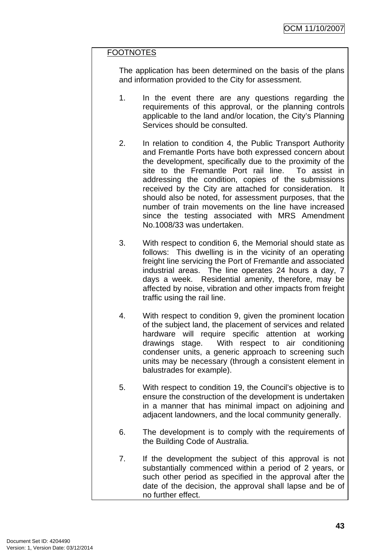# **FOOTNOTES**

The application has been determined on the basis of the plans and information provided to the City for assessment.

- 1. In the event there are any questions regarding the requirements of this approval, or the planning controls applicable to the land and/or location, the City's Planning Services should be consulted.
- 2. In relation to condition 4, the Public Transport Authority and Fremantle Ports have both expressed concern about the development, specifically due to the proximity of the site to the Fremantle Port rail line. To assist in addressing the condition, copies of the submissions received by the City are attached for consideration. It should also be noted, for assessment purposes, that the number of train movements on the line have increased since the testing associated with MRS Amendment No.1008/33 was undertaken.
- 3. With respect to condition 6, the Memorial should state as follows: This dwelling is in the vicinity of an operating freight line servicing the Port of Fremantle and associated industrial areas. The line operates 24 hours a day, 7 days a week. Residential amenity, therefore, may be affected by noise, vibration and other impacts from freight traffic using the rail line.
- 4. With respect to condition 9, given the prominent location of the subject land, the placement of services and related hardware will require specific attention at working drawings stage. With respect to air conditioning condenser units, a generic approach to screening such units may be necessary (through a consistent element in balustrades for example).
- 5. With respect to condition 19, the Council's objective is to ensure the construction of the development is undertaken in a manner that has minimal impact on adjoining and adjacent landowners, and the local community generally.
- 6. The development is to comply with the requirements of the Building Code of Australia.
- 7. If the development the subject of this approval is not substantially commenced within a period of 2 years, or such other period as specified in the approval after the date of the decision, the approval shall lapse and be of no further effect.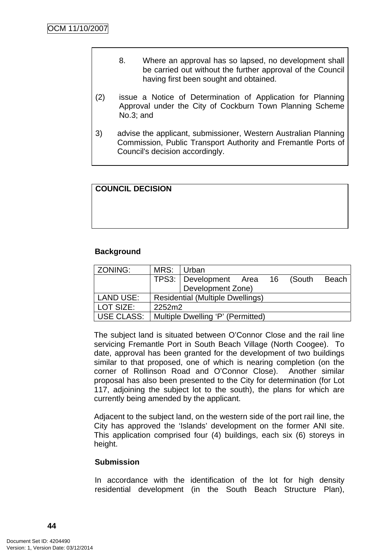- 8. Where an approval has so lapsed, no development shall be carried out without the further approval of the Council having first been sought and obtained.
- (2) issue a Notice of Determination of Application for Planning Approval under the City of Cockburn Town Planning Scheme No.3; and
- 3) advise the applicant, submissioner, Western Australian Planning Commission, Public Transport Authority and Fremantle Ports of Council's decision accordingly.

# **COUNCIL DECISION**

# **Background**

| ZONING:           | MRS: I                                  | Urban                             |  |  |       |
|-------------------|-----------------------------------------|-----------------------------------|--|--|-------|
|                   |                                         | TPS3: Development Area 16 (South  |  |  | Beach |
|                   |                                         | Development Zone)                 |  |  |       |
| <b>LAND USE:</b>  | <b>Residential (Multiple Dwellings)</b> |                                   |  |  |       |
| LOT SIZE:         | 2252m2                                  |                                   |  |  |       |
| <b>USE CLASS:</b> |                                         | Multiple Dwelling 'P' (Permitted) |  |  |       |

The subject land is situated between O'Connor Close and the rail line servicing Fremantle Port in South Beach Village (North Coogee). To date, approval has been granted for the development of two buildings similar to that proposed, one of which is nearing completion (on the corner of Rollinson Road and O'Connor Close). Another similar proposal has also been presented to the City for determination (for Lot 117, adjoining the subject lot to the south), the plans for which are currently being amended by the applicant.

Adjacent to the subject land, on the western side of the port rail line, the City has approved the 'Islands' development on the former ANI site. This application comprised four (4) buildings, each six (6) storeys in height.

#### **Submission**

In accordance with the identification of the lot for high density residential development (in the South Beach Structure Plan),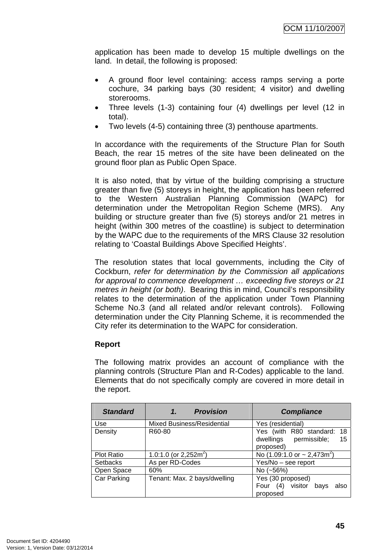application has been made to develop 15 multiple dwellings on the land. In detail, the following is proposed:

- A ground floor level containing: access ramps serving a porte cochure, 34 parking bays (30 resident; 4 visitor) and dwelling storerooms.
- Three levels (1-3) containing four (4) dwellings per level (12 in total).
- Two levels (4-5) containing three (3) penthouse apartments.

In accordance with the requirements of the Structure Plan for South Beach, the rear 15 metres of the site have been delineated on the ground floor plan as Public Open Space.

It is also noted, that by virtue of the building comprising a structure greater than five (5) storeys in height, the application has been referred to the Western Australian Planning Commission (WAPC) for determination under the Metropolitan Region Scheme (MRS). Any building or structure greater than five (5) storeys and/or 21 metres in height (within 300 metres of the coastline) is subject to determination by the WAPC due to the requirements of the MRS Clause 32 resolution relating to 'Coastal Buildings Above Specified Heights'.

The resolution states that local governments, including the City of Cockburn, *refer for determination by the Commission all applications for approval to commence development … exceeding five storeys or 21 metres in height (or both)*. Bearing this in mind, Council's responsibility relates to the determination of the application under Town Planning Scheme No.3 (and all related and/or relevant controls). Following determination under the City Planning Scheme, it is recommended the City refer its determination to the WAPC for consideration.

# **Report**

The following matrix provides an account of compliance with the planning controls (Structure Plan and R-Codes) applicable to the land. Elements that do not specifically comply are covered in more detail in the report.

| <b>Standard</b>    | <b>Provision</b><br>1.            | <b>Compliance</b>                                                       |
|--------------------|-----------------------------------|-------------------------------------------------------------------------|
| Use                | <b>Mixed Business/Residential</b> | Yes (residential)                                                       |
| Density            | R60-80                            | Yes (with R80 standard: 18<br>dwellings permissible;<br>15<br>proposed) |
| <b>Plot Ratio</b>  | 1.0:1.0 (or 2,252m <sup>2</sup> ) | No $(1.09:1.0 \text{ or } -2.473 \text{ m}^2)$                          |
| <b>Setbacks</b>    | As per RD-Codes                   | Yes/No - see report                                                     |
| Open Space         | 60%                               | No $(-56%)$                                                             |
| <b>Car Parking</b> | Tenant: Max. 2 bays/dwelling      | Yes (30 proposed)<br>visitor<br>Four $(4)$<br>bavs<br>also<br>proposed  |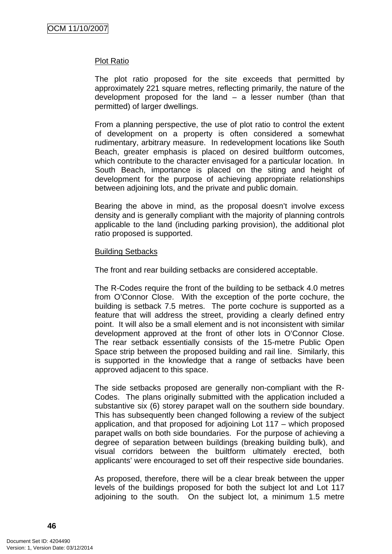### Plot Ratio

The plot ratio proposed for the site exceeds that permitted by approximately 221 square metres, reflecting primarily, the nature of the development proposed for the land – a lesser number (than that permitted) of larger dwellings.

From a planning perspective, the use of plot ratio to control the extent of development on a property is often considered a somewhat rudimentary, arbitrary measure. In redevelopment locations like South Beach, greater emphasis is placed on desired builtform outcomes, which contribute to the character envisaged for a particular location. In South Beach, importance is placed on the siting and height of development for the purpose of achieving appropriate relationships between adjoining lots, and the private and public domain.

Bearing the above in mind, as the proposal doesn't involve excess density and is generally compliant with the majority of planning controls applicable to the land (including parking provision), the additional plot ratio proposed is supported.

#### Building Setbacks

The front and rear building setbacks are considered acceptable.

The R-Codes require the front of the building to be setback 4.0 metres from O'Connor Close. With the exception of the porte cochure, the building is setback 7.5 metres. The porte cochure is supported as a feature that will address the street, providing a clearly defined entry point. It will also be a small element and is not inconsistent with similar development approved at the front of other lots in O'Connor Close. The rear setback essentially consists of the 15-metre Public Open Space strip between the proposed building and rail line. Similarly, this is supported in the knowledge that a range of setbacks have been approved adjacent to this space.

The side setbacks proposed are generally non-compliant with the R-Codes. The plans originally submitted with the application included a substantive six (6) storey parapet wall on the southern side boundary. This has subsequently been changed following a review of the subject application, and that proposed for adjoining Lot 117 – which proposed parapet walls on both side boundaries. For the purpose of achieving a degree of separation between buildings (breaking building bulk), and visual corridors between the builtform ultimately erected, both applicants' were encouraged to set off their respective side boundaries.

As proposed, therefore, there will be a clear break between the upper levels of the buildings proposed for both the subject lot and Lot 117 adjoining to the south. On the subject lot, a minimum 1.5 metre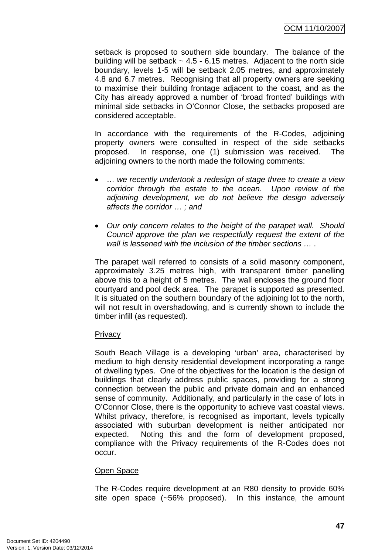setback is proposed to southern side boundary. The balance of the building will be setback  $\sim$  4.5 - 6.15 metres. Adjacent to the north side boundary, levels 1-5 will be setback 2.05 metres, and approximately 4.8 and 6.7 metres. Recognising that all property owners are seeking to maximise their building frontage adjacent to the coast, and as the City has already approved a number of 'broad fronted' buildings with minimal side setbacks in O'Connor Close, the setbacks proposed are considered acceptable.

In accordance with the requirements of the R-Codes, adjoining property owners were consulted in respect of the side setbacks proposed. In response, one (1) submission was received. The adjoining owners to the north made the following comments:

- … *we recently undertook a redesign of stage three to create a view corridor through the estate to the ocean. Upon review of the adjoining development, we do not believe the design adversely affects the corridor … ; and*
- *Our only concern relates to the height of the parapet wall. Should Council approve the plan we respectfully request the extent of the wall is lessened with the inclusion of the timber sections …* .

The parapet wall referred to consists of a solid masonry component, approximately 3.25 metres high, with transparent timber panelling above this to a height of 5 metres. The wall encloses the ground floor courtyard and pool deck area. The parapet is supported as presented. It is situated on the southern boundary of the adjoining lot to the north, will not result in overshadowing, and is currently shown to include the timber infill (as requested).

# **Privacy**

South Beach Village is a developing 'urban' area, characterised by medium to high density residential development incorporating a range of dwelling types. One of the objectives for the location is the design of buildings that clearly address public spaces, providing for a strong connection between the public and private domain and an enhanced sense of community. Additionally, and particularly in the case of lots in O'Connor Close, there is the opportunity to achieve vast coastal views. Whilst privacy, therefore, is recognised as important, levels typically associated with suburban development is neither anticipated nor expected. Noting this and the form of development proposed, compliance with the Privacy requirements of the R-Codes does not occur.

# Open Space

The R-Codes require development at an R80 density to provide 60% site open space (~56% proposed). In this instance, the amount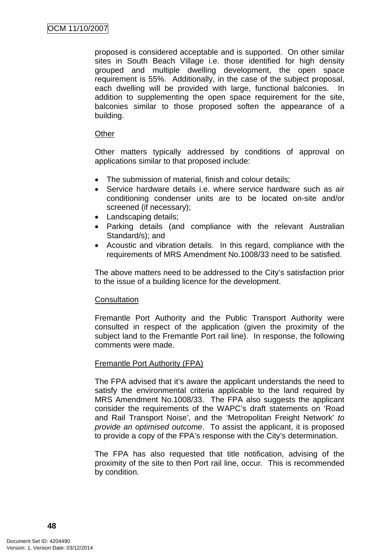proposed is considered acceptable and is supported. On other similar sites in South Beach Village i.e. those identified for high density grouped and multiple dwelling development, the open space requirement is 55%. Additionally, in the case of the subject proposal, each dwelling will be provided with large, functional balconies. In addition to supplementing the open space requirement for the site, balconies similar to those proposed soften the appearance of a building.

# **Other**

Other matters typically addressed by conditions of approval on applications similar to that proposed include:

- The submission of material, finish and colour details;
- Service hardware details i.e. where service hardware such as air conditioning condenser units are to be located on-site and/or screened (if necessary);
- Landscaping details:
- Parking details (and compliance with the relevant Australian Standard/s); and
- Acoustic and vibration details. In this regard, compliance with the requirements of MRS Amendment No.1008/33 need to be satisfied.

The above matters need to be addressed to the City's satisfaction prior to the issue of a building licence for the development.

# **Consultation**

Fremantle Port Authority and the Public Transport Authority were consulted in respect of the application (given the proximity of the subject land to the Fremantle Port rail line). In response, the following comments were made.

# Fremantle Port Authority (FPA)

The FPA advised that it's aware the applicant understands the need to satisfy the environmental criteria applicable to the land required by MRS Amendment No.1008/33. The FPA also suggests the applicant consider the requirements of the WAPC's draft statements on 'Road and Rail Transport Noise', and the 'Metropolitan Freight Network' *to provide an optimised outcome*. To assist the applicant, it is proposed to provide a copy of the FPA's response with the City's determination.

The FPA has also requested that title notification, advising of the proximity of the site to then Port rail line, occur. This is recommended by condition.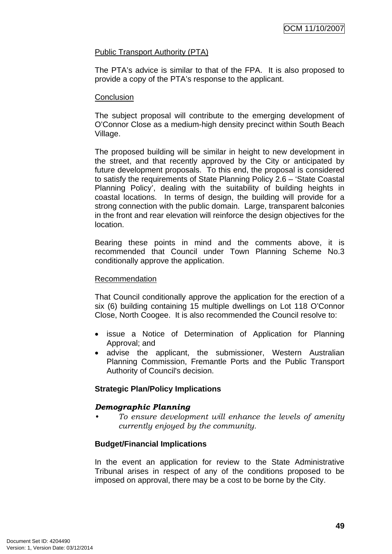# Public Transport Authority (PTA)

The PTA's advice is similar to that of the FPA. It is also proposed to provide a copy of the PTA's response to the applicant.

# **Conclusion**

The subject proposal will contribute to the emerging development of O'Connor Close as a medium-high density precinct within South Beach Village.

The proposed building will be similar in height to new development in the street, and that recently approved by the City or anticipated by future development proposals. To this end, the proposal is considered to satisfy the requirements of State Planning Policy 2.6 – 'State Coastal Planning Policy', dealing with the suitability of building heights in coastal locations. In terms of design, the building will provide for a strong connection with the public domain. Large, transparent balconies in the front and rear elevation will reinforce the design objectives for the location.

Bearing these points in mind and the comments above, it is recommended that Council under Town Planning Scheme No.3 conditionally approve the application.

### Recommendation

That Council conditionally approve the application for the erection of a six (6) building containing 15 multiple dwellings on Lot 118 O'Connor Close, North Coogee. It is also recommended the Council resolve to:

- issue a Notice of Determination of Application for Planning Approval; and
- advise the applicant, the submissioner, Western Australian Planning Commission, Fremantle Ports and the Public Transport Authority of Council's decision.

# **Strategic Plan/Policy Implications**

# *Demographic Planning*

*• To ensure development will enhance the levels of amenity currently enjoyed by the community.* 

# **Budget/Financial Implications**

In the event an application for review to the State Administrative Tribunal arises in respect of any of the conditions proposed to be imposed on approval, there may be a cost to be borne by the City.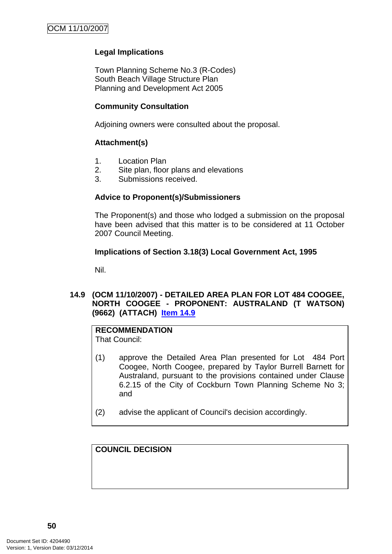# **Legal Implications**

Town Planning Scheme No.3 (R-Codes) South Beach Village Structure Plan Planning and Development Act 2005

# **Community Consultation**

Adjoining owners were consulted about the proposal.

# **Attachment(s)**

- 1. Location Plan
- 2. Site plan, floor plans and elevations
- 3. Submissions received.

# **Advice to Proponent(s)/Submissioners**

The Proponent(s) and those who lodged a submission on the proposal have been advised that this matter is to be considered at 11 October 2007 Council Meeting.

# **Implications of Section 3.18(3) Local Government Act, 1995**

Nil.

# **14.9 (OCM 11/10/2007) - DETAILED AREA PLAN FOR LOT 484 COOGEE, NORTH COOGEE - PROPONENT: AUSTRALAND (T WATSON) (9662) (ATTACH) Item 14.9**

# **RECOMMENDATION**

That Council:

- (1) approve the Detailed Area Plan presented for Lot 484 Port Coogee, North Coogee, prepared by Taylor Burrell Barnett for Australand, pursuant to the provisions contained under Clause 6.2.15 of the City of Cockburn Town Planning Scheme No 3; and
- (2) advise the applicant of Council's decision accordingly.

**COUNCIL DECISION**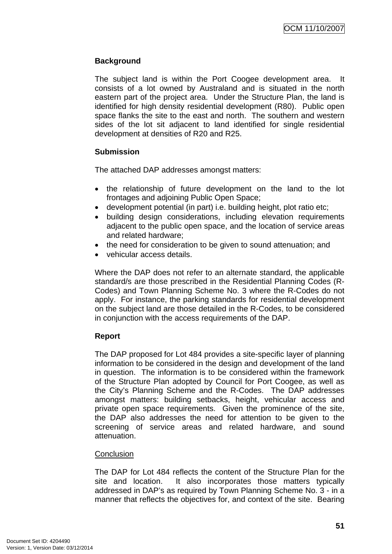# **Background**

The subject land is within the Port Coogee development area. consists of a lot owned by Australand and is situated in the north eastern part of the project area. Under the Structure Plan, the land is identified for high density residential development (R80). Public open space flanks the site to the east and north. The southern and western sides of the lot sit adjacent to land identified for single residential development at densities of R20 and R25.

# **Submission**

The attached DAP addresses amongst matters:

- the relationship of future development on the land to the lot frontages and adjoining Public Open Space;
- development potential (in part) i.e. building height, plot ratio etc;
- building design considerations, including elevation requirements adjacent to the public open space, and the location of service areas and related hardware;
- the need for consideration to be given to sound attenuation; and
- vehicular access details.

Where the DAP does not refer to an alternate standard, the applicable standard/s are those prescribed in the Residential Planning Codes (R-Codes) and Town Planning Scheme No. 3 where the R-Codes do not apply. For instance, the parking standards for residential development on the subject land are those detailed in the R-Codes, to be considered in conjunction with the access requirements of the DAP.

# **Report**

The DAP proposed for Lot 484 provides a site-specific layer of planning information to be considered in the design and development of the land in question. The information is to be considered within the framework of the Structure Plan adopted by Council for Port Coogee, as well as the City's Planning Scheme and the R-Codes. The DAP addresses amongst matters: building setbacks, height, vehicular access and private open space requirements. Given the prominence of the site, the DAP also addresses the need for attention to be given to the screening of service areas and related hardware, and sound attenuation.

# **Conclusion**

The DAP for Lot 484 reflects the content of the Structure Plan for the site and location. It also incorporates those matters typically addressed in DAP's as required by Town Planning Scheme No. 3 - in a manner that reflects the objectives for, and context of the site. Bearing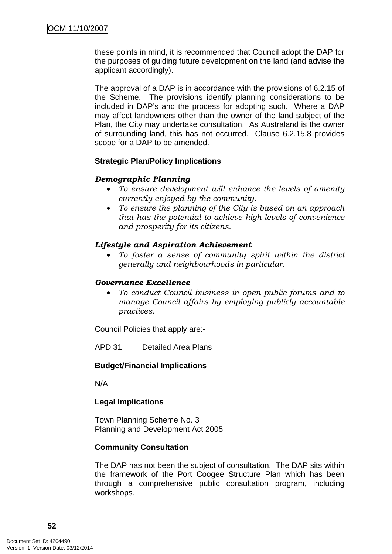these points in mind, it is recommended that Council adopt the DAP for the purposes of guiding future development on the land (and advise the applicant accordingly).

The approval of a DAP is in accordance with the provisions of 6.2.15 of the Scheme. The provisions identify planning considerations to be included in DAP's and the process for adopting such. Where a DAP may affect landowners other than the owner of the land subject of the Plan, the City may undertake consultation. As Australand is the owner of surrounding land, this has not occurred. Clause 6.2.15.8 provides scope for a DAP to be amended.

# **Strategic Plan/Policy Implications**

# *Demographic Planning*

- *To ensure development will enhance the levels of amenity currently enjoyed by the community.*
- *To ensure the planning of the City is based on an approach that has the potential to achieve high levels of convenience and prosperity for its citizens.*

# *Lifestyle and Aspiration Achievement*

• *To foster a sense of community spirit within the district generally and neighbourhoods in particular.* 

#### *Governance Excellence*

• *To conduct Council business in open public forums and to manage Council affairs by employing publicly accountable practices.* 

Council Policies that apply are:-

APD 31 Detailed Area Plans

# **Budget/Financial Implications**

N/A

# **Legal Implications**

Town Planning Scheme No. 3 Planning and Development Act 2005

# **Community Consultation**

The DAP has not been the subject of consultation. The DAP sits within the framework of the Port Coogee Structure Plan which has been through a comprehensive public consultation program, including workshops.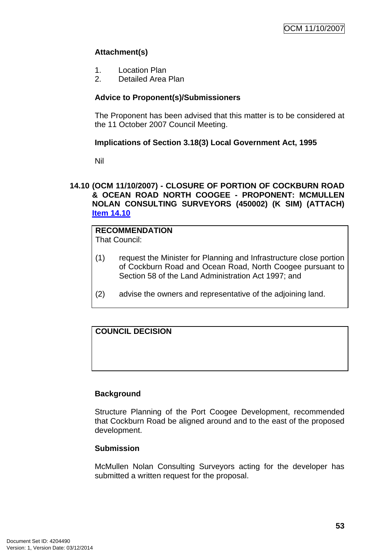# **Attachment(s)**

- 1. Location Plan
- 2. Detailed Area Plan

# **Advice to Proponent(s)/Submissioners**

The Proponent has been advised that this matter is to be considered at the 11 October 2007 Council Meeting.

# **Implications of Section 3.18(3) Local Government Act, 1995**

Nil

# **14.10 (OCM 11/10/2007) - CLOSURE OF PORTION OF COCKBURN ROAD & OCEAN ROAD NORTH COOGEE - PROPONENT: MCMULLEN NOLAN CONSULTING SURVEYORS (450002) (K SIM) (ATTACH) Item 14.10**

#### **RECOMMENDATION** That Council:

- (1) request the Minister for Planning and Infrastructure close portion of Cockburn Road and Ocean Road, North Coogee pursuant to Section 58 of the Land Administration Act 1997; and
- (2) advise the owners and representative of the adjoining land.

# **COUNCIL DECISION**

# **Background**

Structure Planning of the Port Coogee Development, recommended that Cockburn Road be aligned around and to the east of the proposed development.

# **Submission**

McMullen Nolan Consulting Surveyors acting for the developer has submitted a written request for the proposal.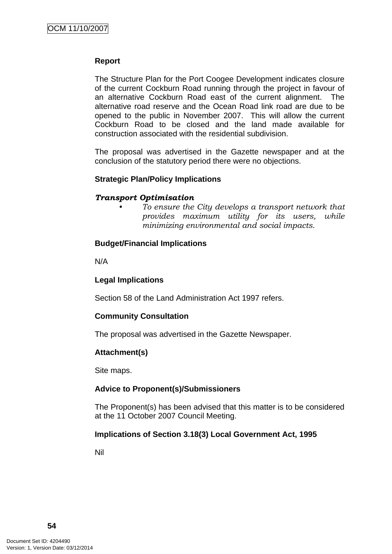# **Report**

The Structure Plan for the Port Coogee Development indicates closure of the current Cockburn Road running through the project in favour of an alternative Cockburn Road east of the current alignment. The alternative road reserve and the Ocean Road link road are due to be opened to the public in November 2007. This will allow the current Cockburn Road to be closed and the land made available for construction associated with the residential subdivision.

The proposal was advertised in the Gazette newspaper and at the conclusion of the statutory period there were no objections.

# **Strategic Plan/Policy Implications**

#### *Transport Optimisation*

*• To ensure the City develops a transport network that provides maximum utility for its users, while minimizing environmental and social impacts.* 

#### **Budget/Financial Implications**

N/A

# **Legal Implications**

Section 58 of the Land Administration Act 1997 refers.

# **Community Consultation**

The proposal was advertised in the Gazette Newspaper.

# **Attachment(s)**

Site maps.

# **Advice to Proponent(s)/Submissioners**

The Proponent(s) has been advised that this matter is to be considered at the 11 October 2007 Council Meeting.

# **Implications of Section 3.18(3) Local Government Act, 1995**

Nil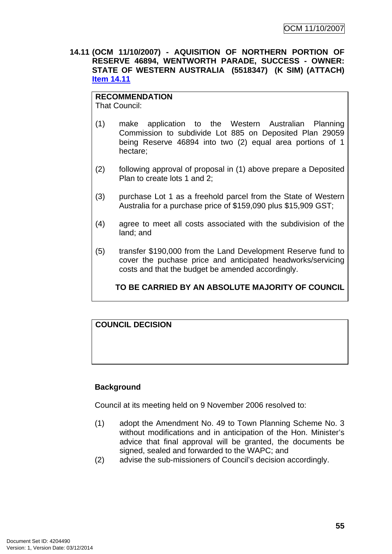**14.11 (OCM 11/10/2007) - AQUISITION OF NORTHERN PORTION OF RESERVE 46894, WENTWORTH PARADE, SUCCESS - OWNER: STATE OF WESTERN AUSTRALIA (5518347) (K SIM) (ATTACH) Item 14.11**

### **RECOMMENDATION**

That Council:

- (1) make application to the Western Australian Planning Commission to subdivide Lot 885 on Deposited Plan 29059 being Reserve 46894 into two (2) equal area portions of 1 hectare;
- (2) following approval of proposal in (1) above prepare a Deposited Plan to create lots 1 and 2;
- (3) purchase Lot 1 as a freehold parcel from the State of Western Australia for a purchase price of \$159,090 plus \$15,909 GST;
- (4) agree to meet all costs associated with the subdivision of the land; and
- (5) transfer \$190,000 from the Land Development Reserve fund to cover the puchase price and anticipated headworks/servicing costs and that the budget be amended accordingly.

**TO BE CARRIED BY AN ABSOLUTE MAJORITY OF COUNCIL**

# **COUNCIL DECISION**

# **Background**

Council at its meeting held on 9 November 2006 resolved to:

- (1) adopt the Amendment No. 49 to Town Planning Scheme No. 3 without modifications and in anticipation of the Hon. Minister's advice that final approval will be granted, the documents be signed, sealed and forwarded to the WAPC; and
- (2) advise the sub-missioners of Council's decision accordingly.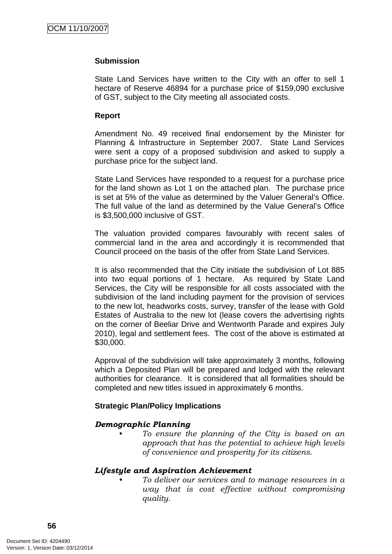# **Submission**

State Land Services have written to the City with an offer to sell 1 hectare of Reserve 46894 for a purchase price of \$159,090 exclusive of GST, subject to the City meeting all associated costs.

### **Report**

Amendment No. 49 received final endorsement by the Minister for Planning & Infrastructure in September 2007. State Land Services were sent a copy of a proposed subdivision and asked to supply a purchase price for the subject land.

State Land Services have responded to a request for a purchase price for the land shown as Lot 1 on the attached plan. The purchase price is set at 5% of the value as determined by the Valuer General's Office. The full value of the land as determined by the Value General's Office is \$3,500,000 inclusive of GST.

The valuation provided compares favourably with recent sales of commercial land in the area and accordingly it is recommended that Council proceed on the basis of the offer from State Land Services.

It is also recommended that the City initiate the subdivision of Lot 885 into two equal portions of 1 hectare. As required by State Land Services, the City will be responsible for all costs associated with the subdivision of the land including payment for the provision of services to the new lot, headworks costs, survey, transfer of the lease with Gold Estates of Australia to the new lot (lease covers the advertising rights on the corner of Beeliar Drive and Wentworth Parade and expires July 2010), legal and settlement fees. The cost of the above is estimated at \$30,000.

Approval of the subdivision will take approximately 3 months, following which a Deposited Plan will be prepared and lodged with the relevant authorities for clearance. It is considered that all formalities should be completed and new titles issued in approximately 6 months.

# **Strategic Plan/Policy Implications**

# *Demographic Planning*

*• To ensure the planning of the City is based on an approach that has the potential to achieve high levels of convenience and prosperity for its citizens.* 

#### *Lifestyle and Aspiration Achievement*

*• To deliver our services and to manage resources in a way that is cost effective without compromising quality.*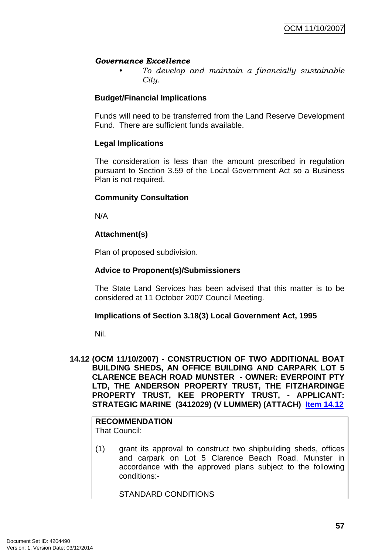# *Governance Excellence*

*• To develop and maintain a financially sustainable City.* 

# **Budget/Financial Implications**

Funds will need to be transferred from the Land Reserve Development Fund. There are sufficient funds available.

# **Legal Implications**

The consideration is less than the amount prescribed in regulation pursuant to Section 3.59 of the Local Government Act so a Business Plan is not required.

# **Community Consultation**

N/A

# **Attachment(s)**

Plan of proposed subdivision.

# **Advice to Proponent(s)/Submissioners**

The State Land Services has been advised that this matter is to be considered at 11 October 2007 Council Meeting.

# **Implications of Section 3.18(3) Local Government Act, 1995**

Nil.

**14.12 (OCM 11/10/2007) - CONSTRUCTION OF TWO ADDITIONAL BOAT BUILDING SHEDS, AN OFFICE BUILDING AND CARPARK LOT 5 CLARENCE BEACH ROAD MUNSTER - OWNER: EVERPOINT PTY LTD, THE ANDERSON PROPERTY TRUST, THE FITZHARDINGE PROPERTY TRUST, KEE PROPERTY TRUST, - APPLICANT: STRATEGIC MARINE (3412029) (V LUMMER) (ATTACH) Item 14.12**

# **RECOMMENDATION**

That Council:

(1) grant its approval to construct two shipbuilding sheds, offices and carpark on Lot 5 Clarence Beach Road, Munster in accordance with the approved plans subject to the following conditions:-

STANDARD CONDITIONS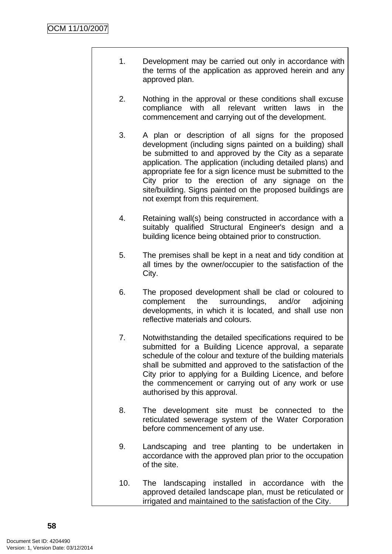- 1. Development may be carried out only in accordance with the terms of the application as approved herein and any approved plan.
- 2. Nothing in the approval or these conditions shall excuse compliance with all relevant written laws in the commencement and carrying out of the development.
- 3. A plan or description of all signs for the proposed development (including signs painted on a building) shall be submitted to and approved by the City as a separate application. The application (including detailed plans) and appropriate fee for a sign licence must be submitted to the City prior to the erection of any signage on the site/building. Signs painted on the proposed buildings are not exempt from this requirement.
- 4. Retaining wall(s) being constructed in accordance with a suitably qualified Structural Engineer's design and a building licence being obtained prior to construction.
- 5. The premises shall be kept in a neat and tidy condition at all times by the owner/occupier to the satisfaction of the City.
- 6. The proposed development shall be clad or coloured to complement the surroundings, and/or adjoining developments, in which it is located, and shall use non reflective materials and colours.
- 7. Notwithstanding the detailed specifications required to be submitted for a Building Licence approval, a separate schedule of the colour and texture of the building materials shall be submitted and approved to the satisfaction of the City prior to applying for a Building Licence, and before the commencement or carrying out of any work or use authorised by this approval.
- 8. The development site must be connected to the reticulated sewerage system of the Water Corporation before commencement of any use.
- 9. Landscaping and tree planting to be undertaken in accordance with the approved plan prior to the occupation of the site.
- 10. The landscaping installed in accordance with the approved detailed landscape plan, must be reticulated or irrigated and maintained to the satisfaction of the City.

**58**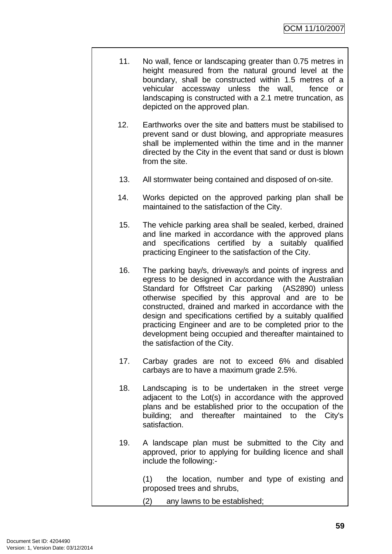- 11. No wall, fence or landscaping greater than 0.75 metres in height measured from the natural ground level at the boundary, shall be constructed within 1.5 metres of a vehicular accessway unless the wall, fence or landscaping is constructed with a 2.1 metre truncation, as depicted on the approved plan.
- 12. Earthworks over the site and batters must be stabilised to prevent sand or dust blowing, and appropriate measures shall be implemented within the time and in the manner directed by the City in the event that sand or dust is blown from the site.
- 13. All stormwater being contained and disposed of on-site.
- 14. Works depicted on the approved parking plan shall be maintained to the satisfaction of the City.
- 15. The vehicle parking area shall be sealed, kerbed, drained and line marked in accordance with the approved plans and specifications certified by a suitably qualified practicing Engineer to the satisfaction of the City.
- 16. The parking bay/s, driveway/s and points of ingress and egress to be designed in accordance with the Australian Standard for Offstreet Car parking (AS2890) unless otherwise specified by this approval and are to be constructed, drained and marked in accordance with the design and specifications certified by a suitably qualified practicing Engineer and are to be completed prior to the development being occupied and thereafter maintained to the satisfaction of the City.
- 17. Carbay grades are not to exceed 6% and disabled carbays are to have a maximum grade 2.5%.
- 18. Landscaping is to be undertaken in the street verge adjacent to the Lot(s) in accordance with the approved plans and be established prior to the occupation of the building; and thereafter maintained to the City's satisfaction.
- 19. A landscape plan must be submitted to the City and approved, prior to applying for building licence and shall include the following:-

(1) the location, number and type of existing and proposed trees and shrubs,

(2) any lawns to be established;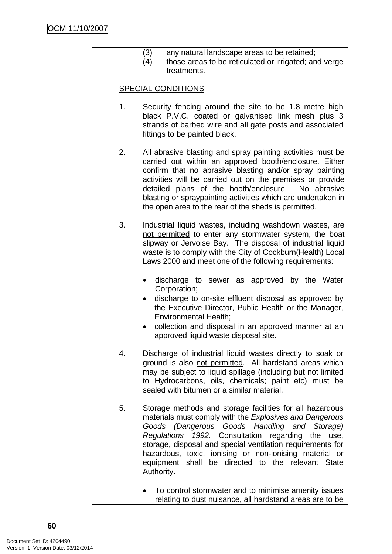- (3) any natural landscape areas to be retained;
- (4) those areas to be reticulated or irrigated; and verge treatments.

# SPECIAL CONDITIONS

- 1. Security fencing around the site to be 1.8 metre high black P.V.C. coated or galvanised link mesh plus 3 strands of barbed wire and all gate posts and associated fittings to be painted black.
- 2. All abrasive blasting and spray painting activities must be carried out within an approved booth/enclosure. Either confirm that no abrasive blasting and/or spray painting activities will be carried out on the premises or provide detailed plans of the booth/enclosure. No abrasive blasting or spraypainting activities which are undertaken in the open area to the rear of the sheds is permitted.
- 3. Industrial liquid wastes, including washdown wastes, are not permitted to enter any stormwater system, the boat slipway or Jervoise Bay. The disposal of industrial liquid waste is to comply with the City of Cockburn(Health) Local Laws 2000 and meet one of the following requirements:
	- discharge to sewer as approved by the Water Corporation;
	- discharge to on-site effluent disposal as approved by the Executive Director, Public Health or the Manager, Environmental Health;
	- collection and disposal in an approved manner at an approved liquid waste disposal site.
- 4. Discharge of industrial liquid wastes directly to soak or ground is also not permitted. All hardstand areas which may be subject to liquid spillage (including but not limited to Hydrocarbons, oils, chemicals; paint etc) must be sealed with bitumen or a similar material.
- 5. Storage methods and storage facilities for all hazardous materials must comply with the *Explosives and Dangerous Goods (Dangerous Goods Handling and Storage) Regulations 1992*. Consultation regarding the use, storage, disposal and special ventilation requirements for hazardous, toxic, ionising or non-ionising material or equipment shall be directed to the relevant State Authority.
	- To control stormwater and to minimise amenity issues relating to dust nuisance, all hardstand areas are to be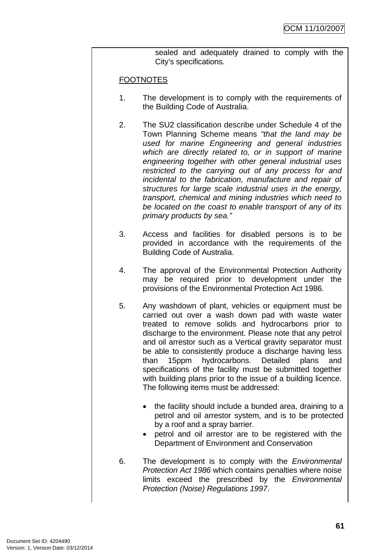sealed and adequately drained to comply with the City's specifications.

# **FOOTNOTES**

- 1. The development is to comply with the requirements of the Building Code of Australia.
- 2. The SU2 classification describe under Schedule 4 of the Town Planning Scheme means *"that the land may be used for marine Engineering and general industries which are directly related to, or in support of marine engineering together with other general industrial uses restricted to the carrying out of any process for and incidental to the fabrication, manufacture and repair of structures for large scale industrial uses in the energy, transport, chemical and mining industries which need to be located on the coast to enable transport of any of its primary products by sea."*
- 3. Access and facilities for disabled persons is to be provided in accordance with the requirements of the Building Code of Australia.
- 4. The approval of the Environmental Protection Authority may be required prior to development under the provisions of the Environmental Protection Act 1986.
- 5. Any washdown of plant, vehicles or equipment must be carried out over a wash down pad with waste water treated to remove solids and hydrocarbons prior to discharge to the environment. Please note that any petrol and oil arrestor such as a Vertical gravity separator must be able to consistently produce a discharge having less than 15ppm hydrocarbons. Detailed plans and specifications of the facility must be submitted together with building plans prior to the issue of a building licence. The following items must be addressed:
	- the facility should include a bunded area, draining to a petrol and oil arrestor system, and is to be protected by a roof and a spray barrier.
	- petrol and oil arrestor are to be registered with the Department of Environment and Conservation
- 6. The development is to comply with the *Environmental Protection Act 1986* which contains penalties where noise limits exceed the prescribed by the *Environmental Protection (Noise) Regulations 1997*.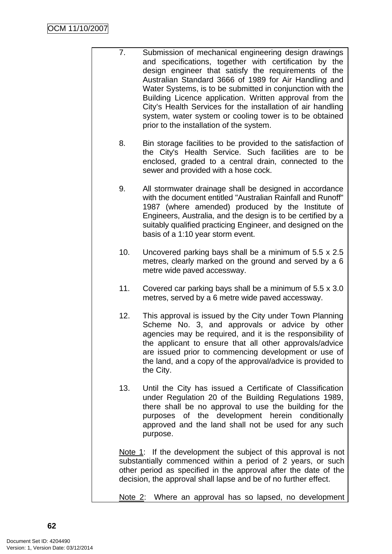- 7. Submission of mechanical engineering design drawings and specifications, together with certification by the design engineer that satisfy the requirements of the Australian Standard 3666 of 1989 for Air Handling and Water Systems, is to be submitted in conjunction with the Building Licence application. Written approval from the City's Health Services for the installation of air handling system, water system or cooling tower is to be obtained prior to the installation of the system.
	- 8. Bin storage facilities to be provided to the satisfaction of the City's Health Service. Such facilities are to be enclosed, graded to a central drain, connected to the sewer and provided with a hose cock.
	- 9. All stormwater drainage shall be designed in accordance with the document entitled "Australian Rainfall and Runoff" 1987 (where amended) produced by the Institute of Engineers, Australia, and the design is to be certified by a suitably qualified practicing Engineer, and designed on the basis of a 1:10 year storm event.
	- 10. Uncovered parking bays shall be a minimum of 5.5 x 2.5 metres, clearly marked on the ground and served by a 6 metre wide paved accessway.
	- 11. Covered car parking bays shall be a minimum of 5.5 x 3.0 metres, served by a 6 metre wide paved accessway.
	- 12. This approval is issued by the City under Town Planning Scheme No. 3, and approvals or advice by other agencies may be required, and it is the responsibility of the applicant to ensure that all other approvals/advice are issued prior to commencing development or use of the land, and a copy of the approval/advice is provided to the City.
	- 13. Until the City has issued a Certificate of Classification under Regulation 20 of the Building Regulations 1989, there shall be no approval to use the building for the purposes of the development herein conditionally approved and the land shall not be used for any such purpose.

Note 1: If the development the subject of this approval is not substantially commenced within a period of 2 years, or such other period as specified in the approval after the date of the decision, the approval shall lapse and be of no further effect.

Note 2: Where an approval has so lapsed, no development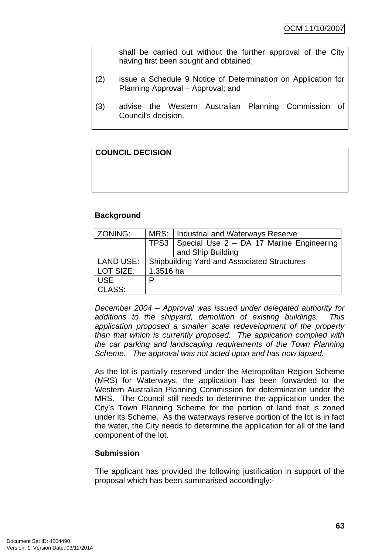shall be carried out without the further approval of the City having first been sought and obtained;

- (2) issue a Schedule 9 Notice of Determination on Application for Planning Approval – Approval; and
- (3) advise the Western Australian Planning Commission of Council's decision.

# **COUNCIL DECISION**

# **Background**

| ZONING:          | MRS: I<br><b>Industrial and Waterways Reserve</b>  |                   |  |
|------------------|----------------------------------------------------|-------------------|--|
|                  | TPS3<br>Special Use 2 - DA 17 Marine Engineering   |                   |  |
|                  |                                                    | and Ship Building |  |
| <b>LAND USE:</b> | <b>Shipbuilding Yard and Associated Structures</b> |                   |  |
| LOT SIZE:        | 1.3516 ha                                          |                   |  |
| <b>USE</b>       | D                                                  |                   |  |
| CLASS:           |                                                    |                   |  |

*December 2004 – Approval was issued under delegated authority for additions to the shipyard, demolition of existing buildings. This application proposed a smaller scale redevelopment of the property than that which is currently proposed. The application complied with the car parking and landscaping requirements of the Town Planning Scheme. The approval was not acted upon and has now lapsed.* 

As the lot is partially reserved under the Metropolitan Region Scheme (MRS) for Waterways, the application has been forwarded to the Western Australian Planning Commission for determination under the MRS. The Council still needs to determine the application under the City's Town Planning Scheme for the portion of land that is zoned under its Scheme. As the waterways reserve portion of the lot is in fact the water, the City needs to determine the application for all of the land component of the lot.

# **Submission**

The applicant has provided the following justification in support of the proposal which has been summarised accordingly:-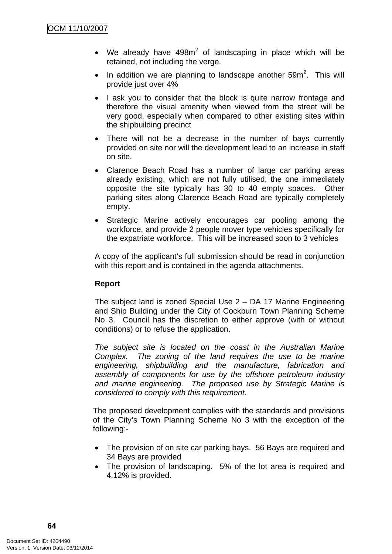- We already have  $498m^2$  of landscaping in place which will be retained, not including the verge.
- In addition we are planning to landscape another  $59m^2$ . This will provide just over 4%
- I ask you to consider that the block is quite narrow frontage and therefore the visual amenity when viewed from the street will be very good, especially when compared to other existing sites within the shipbuilding precinct
- There will not be a decrease in the number of bays currently provided on site nor will the development lead to an increase in staff on site.
- Clarence Beach Road has a number of large car parking areas already existing, which are not fully utilised, the one immediately opposite the site typically has 30 to 40 empty spaces. Other parking sites along Clarence Beach Road are typically completely empty.
- Strategic Marine actively encourages car pooling among the workforce, and provide 2 people mover type vehicles specifically for the expatriate workforce. This will be increased soon to 3 vehicles

A copy of the applicant's full submission should be read in conjunction with this report and is contained in the agenda attachments.

# **Report**

The subject land is zoned Special Use 2 – DA 17 Marine Engineering and Ship Building under the City of Cockburn Town Planning Scheme No 3. Council has the discretion to either approve (with or without conditions) or to refuse the application.

*The subject site is located on the coast in the Australian Marine Complex. The zoning of the land requires the use to be marine engineering, shipbuilding and the manufacture, fabrication and assembly of components for use by the offshore petroleum industry and marine engineering. The proposed use by Strategic Marine is considered to comply with this requirement.* 

The proposed development complies with the standards and provisions of the City's Town Planning Scheme No 3 with the exception of the following:-

- The provision of on site car parking bays. 56 Bays are required and 34 Bays are provided
- The provision of landscaping. 5% of the lot area is required and 4.12% is provided.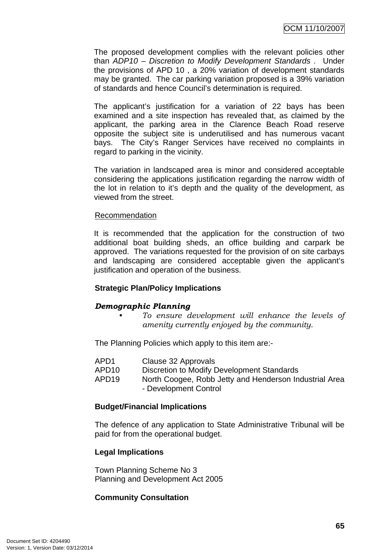The proposed development complies with the relevant policies other than *ADP10 – Discretion to Modify Development Standards .* Under the provisions of APD 10 , a 20% variation of development standards may be granted. The car parking variation proposed is a 39% variation of standards and hence Council's determination is required.

The applicant's justification for a variation of 22 bays has been examined and a site inspection has revealed that, as claimed by the applicant, the parking area in the Clarence Beach Road reserve opposite the subject site is underutilised and has numerous vacant bays. The City's Ranger Services have received no complaints in regard to parking in the vicinity.

The variation in landscaped area is minor and considered acceptable considering the applications justification regarding the narrow width of the lot in relation to it's depth and the quality of the development, as viewed from the street.

#### Recommendation

It is recommended that the application for the construction of two additional boat building sheds, an office building and carpark be approved. The variations requested for the provision of on site carbays and landscaping are considered acceptable given the applicant's justification and operation of the business.

# **Strategic Plan/Policy Implications**

# *Demographic Planning*

*• To ensure development will enhance the levels of amenity currently enjoyed by the community.*

The Planning Policies which apply to this item are:-

| APD1 | Clause 32 Approvals |
|------|---------------------|
|------|---------------------|

- APD10 Discretion to Modify Development Standards
- APD19 North Coogee, Robb Jetty and Henderson Industrial Area - Development Control

# **Budget/Financial Implications**

The defence of any application to State Administrative Tribunal will be paid for from the operational budget.

# **Legal Implications**

Town Planning Scheme No 3 Planning and Development Act 2005

# **Community Consultation**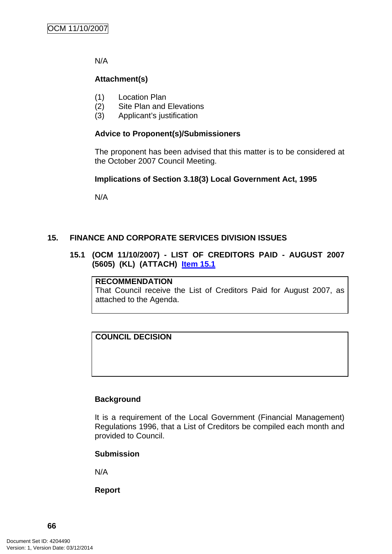N/A

# **Attachment(s)**

- (1) Location Plan
- (2) Site Plan and Elevations
- (3) Applicant's justification

# **Advice to Proponent(s)/Submissioners**

The proponent has been advised that this matter is to be considered at the October 2007 Council Meeting.

# **Implications of Section 3.18(3) Local Government Act, 1995**

N/A

# **15. FINANCE AND CORPORATE SERVICES DIVISION ISSUES**

# **15.1 (OCM 11/10/2007) - LIST OF CREDITORS PAID - AUGUST 2007 (5605) (KL) (ATTACH) Item 15.1**

# **RECOMMENDATION**

That Council receive the List of Creditors Paid for August 2007, as attached to the Agenda.

# **COUNCIL DECISION**

# **Background**

It is a requirement of the Local Government (Financial Management) Regulations 1996, that a List of Creditors be compiled each month and provided to Council.

# **Submission**

N/A

**Report**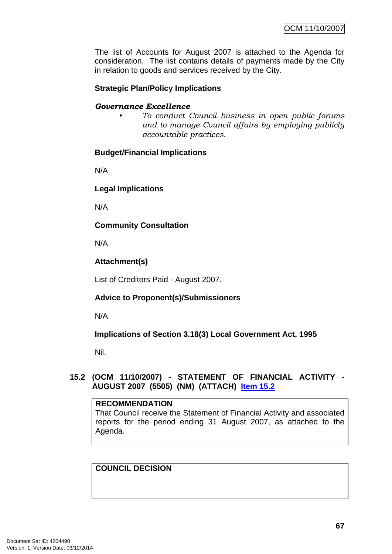The list of Accounts for August 2007 is attached to the Agenda for consideration. The list contains details of payments made by the City in relation to goods and services received by the City.

# **Strategic Plan/Policy Implications**

#### *Governance Excellence*

*• To conduct Council business in open public forums and to manage Council affairs by employing publicly accountable practices.* 

# **Budget/Financial Implications**

N/A

# **Legal Implications**

N/A

**Community Consultation** 

N/A

# **Attachment(s)**

List of Creditors Paid - August 2007.

# **Advice to Proponent(s)/Submissioners**

N/A

# **Implications of Section 3.18(3) Local Government Act, 1995**

Nil.

# **15.2 (OCM 11/10/2007) - STATEMENT OF FINANCIAL ACTIVITY - AUGUST 2007 (5505) (NM) (ATTACH) Item 15.2**

# **RECOMMENDATION** That Council receive the Statement of Financial Activity and associated reports for the period ending 31 August 2007, as attached to the Agenda.

# **COUNCIL DECISION**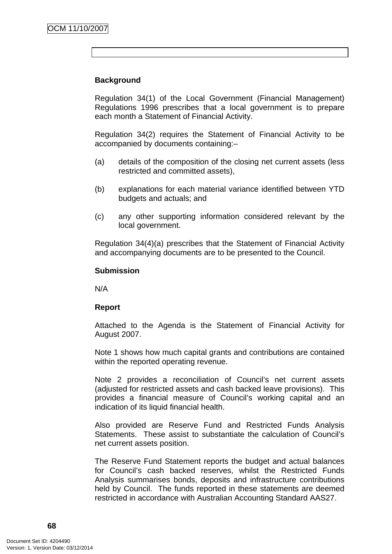# **Background**

Regulation 34(1) of the Local Government (Financial Management) Regulations 1996 prescribes that a local government is to prepare each month a Statement of Financial Activity.

Regulation 34(2) requires the Statement of Financial Activity to be accompanied by documents containing:–

- (a) details of the composition of the closing net current assets (less restricted and committed assets),
- (b) explanations for each material variance identified between YTD budgets and actuals; and
- (c) any other supporting information considered relevant by the local government.

Regulation 34(4)(a) prescribes that the Statement of Financial Activity and accompanying documents are to be presented to the Council.

# **Submission**

N/A

# **Report**

Attached to the Agenda is the Statement of Financial Activity for August 2007.

Note 1 shows how much capital grants and contributions are contained within the reported operating revenue.

Note 2 provides a reconciliation of Council's net current assets (adjusted for restricted assets and cash backed leave provisions). This provides a financial measure of Council's working capital and an indication of its liquid financial health.

Also provided are Reserve Fund and Restricted Funds Analysis Statements. These assist to substantiate the calculation of Council's net current assets position.

The Reserve Fund Statement reports the budget and actual balances for Council's cash backed reserves, whilst the Restricted Funds Analysis summarises bonds, deposits and infrastructure contributions held by Council. The funds reported in these statements are deemed restricted in accordance with Australian Accounting Standard AAS27.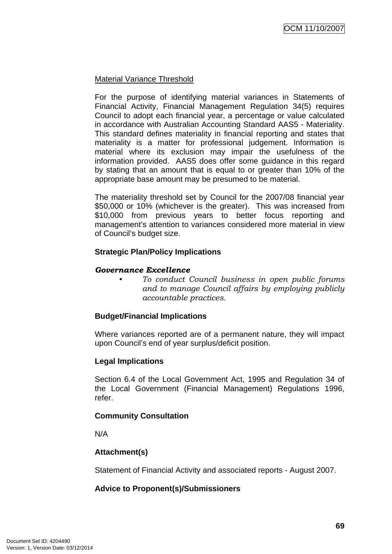## Material Variance Threshold

For the purpose of identifying material variances in Statements of Financial Activity, Financial Management Regulation 34(5) requires Council to adopt each financial year, a percentage or value calculated in accordance with Australian Accounting Standard AAS5 - Materiality. This standard defines materiality in financial reporting and states that materiality is a matter for professional judgement. Information is material where its exclusion may impair the usefulness of the information provided. AAS5 does offer some guidance in this regard by stating that an amount that is equal to or greater than 10% of the appropriate base amount may be presumed to be material.

The materiality threshold set by Council for the 2007/08 financial year \$50,000 or 10% (whichever is the greater). This was increased from \$10,000 from previous years to better focus reporting and management's attention to variances considered more material in view of Council's budget size.

#### **Strategic Plan/Policy Implications**

#### *Governance Excellence*

*• To conduct Council business in open public forums and to manage Council affairs by employing publicly accountable practices.* 

## **Budget/Financial Implications**

Where variances reported are of a permanent nature, they will impact upon Council's end of year surplus/deficit position.

## **Legal Implications**

Section 6.4 of the Local Government Act, 1995 and Regulation 34 of the Local Government (Financial Management) Regulations 1996, refer.

## **Community Consultation**

N/A

## **Attachment(s)**

Statement of Financial Activity and associated reports - August 2007.

## **Advice to Proponent(s)/Submissioners**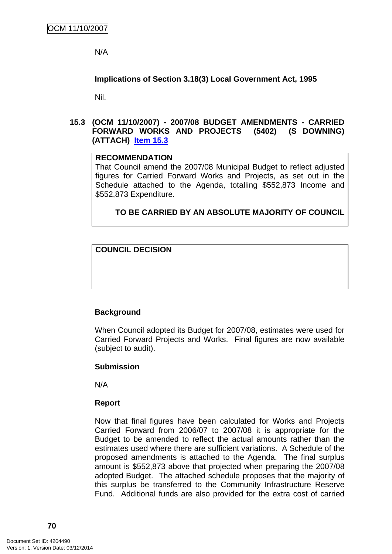N/A

**Implications of Section 3.18(3) Local Government Act, 1995**

Nil.

**15.3 (OCM 11/10/2007) - 2007/08 BUDGET AMENDMENTS - CARRIED FORWARD WORKS AND PROJECTS (5402) (S DOWNING) (ATTACH) Item 15.3**

## **RECOMMENDATION**

That Council amend the 2007/08 Municipal Budget to reflect adjusted figures for Carried Forward Works and Projects, as set out in the Schedule attached to the Agenda, totalling \$552,873 Income and \$552,873 Expenditure.

**TO BE CARRIED BY AN ABSOLUTE MAJORITY OF COUNCIL**

## **COUNCIL DECISION**

## **Background**

When Council adopted its Budget for 2007/08, estimates were used for Carried Forward Projects and Works. Final figures are now available (subject to audit).

## **Submission**

N/A

## **Report**

Now that final figures have been calculated for Works and Projects Carried Forward from 2006/07 to 2007/08 it is appropriate for the Budget to be amended to reflect the actual amounts rather than the estimates used where there are sufficient variations. A Schedule of the proposed amendments is attached to the Agenda. The final surplus amount is \$552,873 above that projected when preparing the 2007/08 adopted Budget. The attached schedule proposes that the majority of this surplus be transferred to the Community Infrastructure Reserve Fund. Additional funds are also provided for the extra cost of carried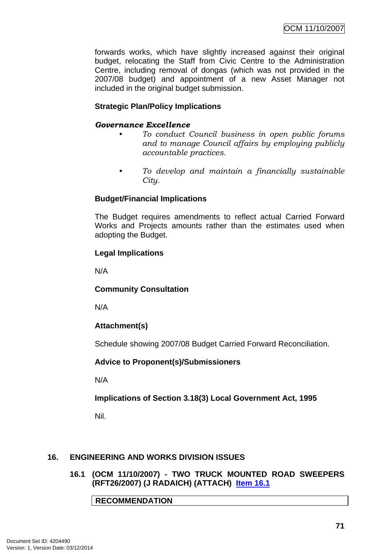OCM 11/10/2007

forwards works, which have slightly increased against their original budget, relocating the Staff from Civic Centre to the Administration Centre, including removal of dongas (which was not provided in the 2007/08 budget) and appointment of a new Asset Manager not included in the original budget submission.

# **Strategic Plan/Policy Implications**

## *Governance Excellence*

- *To conduct Council business in open public forums and to manage Council affairs by employing publicly accountable practices.*
- *To develop and maintain a financially sustainable City.*

## **Budget/Financial Implications**

The Budget requires amendments to reflect actual Carried Forward Works and Projects amounts rather than the estimates used when adopting the Budget.

#### **Legal Implications**

N/A

## **Community Consultation**

N/A

# **Attachment(s)**

Schedule showing 2007/08 Budget Carried Forward Reconciliation.

## **Advice to Proponent(s)/Submissioners**

N/A

## **Implications of Section 3.18(3) Local Government Act, 1995**

Nil.

## **16. ENGINEERING AND WORKS DIVISION ISSUES**

**16.1 (OCM 11/10/2007) - TWO TRUCK MOUNTED ROAD SWEEPERS (RFT26/2007) (J RADAICH) (ATTACH) Item 16.1**

**RECOMMENDATION**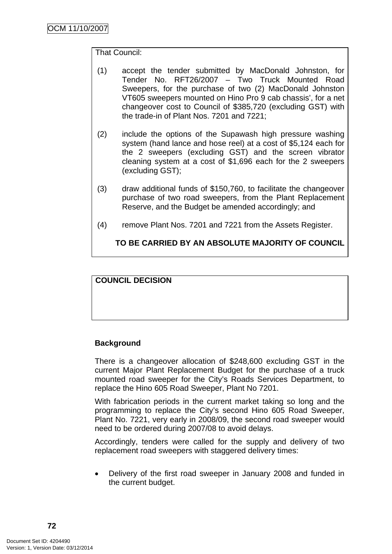## That Council:

- (1) accept the tender submitted by MacDonald Johnston, for Tender No. RFT26/2007 – Two Truck Mounted Road Sweepers, for the purchase of two (2) MacDonald Johnston VT605 sweepers mounted on Hino Pro 9 cab chassis', for a net changeover cost to Council of \$385,720 (excluding GST) with the trade-in of Plant Nos. 7201 and 7221;
- (2) include the options of the Supawash high pressure washing system (hand lance and hose reel) at a cost of \$5,124 each for the 2 sweepers (excluding GST) and the screen vibrator cleaning system at a cost of \$1,696 each for the 2 sweepers (excluding GST);
- (3) draw additional funds of \$150,760, to facilitate the changeover purchase of two road sweepers, from the Plant Replacement Reserve, and the Budget be amended accordingly; and
- (4) remove Plant Nos. 7201 and 7221 from the Assets Register.

**TO BE CARRIED BY AN ABSOLUTE MAJORITY OF COUNCIL**

## **COUNCIL DECISION**

## **Background**

There is a changeover allocation of \$248,600 excluding GST in the current Major Plant Replacement Budget for the purchase of a truck mounted road sweeper for the City's Roads Services Department, to replace the Hino 605 Road Sweeper, Plant No 7201.

With fabrication periods in the current market taking so long and the programming to replace the City's second Hino 605 Road Sweeper, Plant No. 7221, very early in 2008/09, the second road sweeper would need to be ordered during 2007/08 to avoid delays.

Accordingly, tenders were called for the supply and delivery of two replacement road sweepers with staggered delivery times:

• Delivery of the first road sweeper in January 2008 and funded in the current budget.

**72**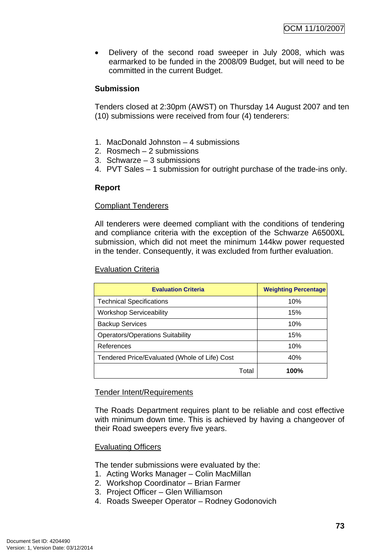• Delivery of the second road sweeper in July 2008, which was earmarked to be funded in the 2008/09 Budget, but will need to be committed in the current Budget.

## **Submission**

Tenders closed at 2:30pm (AWST) on Thursday 14 August 2007 and ten (10) submissions were received from four (4) tenderers:

- 1. MacDonald Johnston 4 submissions
- 2. Rosmech 2 submissions
- 3. Schwarze 3 submissions
- 4. PVT Sales 1 submission for outright purchase of the trade-ins only.

## **Report**

## Compliant Tenderers

All tenderers were deemed compliant with the conditions of tendering and compliance criteria with the exception of the Schwarze A6500XL submission, which did not meet the minimum 144kw power requested in the tender. Consequently, it was excluded from further evaluation.

## Evaluation Criteria

| <b>Evaluation Criteria</b>                    | <b>Weighting Percentage</b> |
|-----------------------------------------------|-----------------------------|
| <b>Technical Specifications</b>               | 10%                         |
| <b>Workshop Serviceability</b>                | 15%                         |
| <b>Backup Services</b>                        | 10%                         |
| <b>Operators/Operations Suitability</b>       | 15%                         |
| References                                    | 10%                         |
| Tendered Price/Evaluated (Whole of Life) Cost | 40%                         |
| Total                                         | 100%                        |

## Tender Intent/Requirements

The Roads Department requires plant to be reliable and cost effective with minimum down time. This is achieved by having a changeover of their Road sweepers every five years.

## Evaluating Officers

The tender submissions were evaluated by the:

- 1. Acting Works Manager Colin MacMillan
- 2. Workshop Coordinator Brian Farmer
- 3. Project Officer Glen Williamson
- 4. Roads Sweeper Operator Rodney Godonovich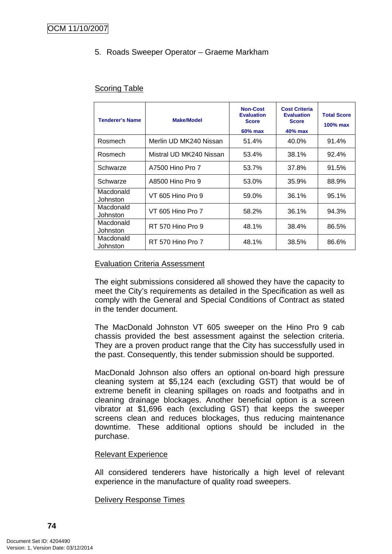# 5. Roads Sweeper Operator – Graeme Markham

## Scoring Table

| <b>Tenderer's Name</b> | <b>Make/Model</b>       | <b>Non-Cost</b><br><b>Evaluation</b><br><b>Score</b><br>60% max | <b>Cost Criteria</b><br><b>Evaluation</b><br><b>Score</b><br>40% max | <b>Total Score</b><br>$100\%$ max |
|------------------------|-------------------------|-----------------------------------------------------------------|----------------------------------------------------------------------|-----------------------------------|
| Rosmech                | Merlin UD MK240 Nissan  | 51.4%                                                           | 40.0%                                                                | 91.4%                             |
| Rosmech                | Mistral UD MK240 Nissan | 53.4%                                                           | 38.1%                                                                | 92.4%                             |
| Schwarze               | A7500 Hino Pro 7        | 53.7%                                                           | 37.8%                                                                | 91.5%                             |
| Schwarze               | A8500 Hino Pro 9        | 53.0%                                                           | 35.9%                                                                | 88.9%                             |
| Macdonald<br>Johnston  | VT 605 Hino Pro 9       | 59.0%                                                           | 36.1%                                                                | 95.1%                             |
| Macdonald<br>Johnston  | VT 605 Hino Pro 7       | 58.2%                                                           | 36.1%                                                                | 94.3%                             |
| Macdonald<br>Johnston  | RT 570 Hino Pro 9       | 48.1%                                                           | 38.4%                                                                | 86.5%                             |
| Macdonald<br>Johnston  | RT 570 Hino Pro 7       | 48.1%                                                           | 38.5%                                                                | 86.6%                             |

## Evaluation Criteria Assessment

The eight submissions considered all showed they have the capacity to meet the City's requirements as detailed in the Specification as well as comply with the General and Special Conditions of Contract as stated in the tender document.

The MacDonald Johnston VT 605 sweeper on the Hino Pro 9 cab chassis provided the best assessment against the selection criteria. They are a proven product range that the City has successfully used in the past. Consequently, this tender submission should be supported.

MacDonald Johnson also offers an optional on-board high pressure cleaning system at \$5,124 each (excluding GST) that would be of extreme benefit in cleaning spillages on roads and footpaths and in cleaning drainage blockages. Another beneficial option is a screen vibrator at \$1,696 each (excluding GST) that keeps the sweeper screens clean and reduces blockages, thus reducing maintenance downtime. These additional options should be included in the purchase.

## Relevant Experience

All considered tenderers have historically a high level of relevant experience in the manufacture of quality road sweepers.

#### Delivery Response Times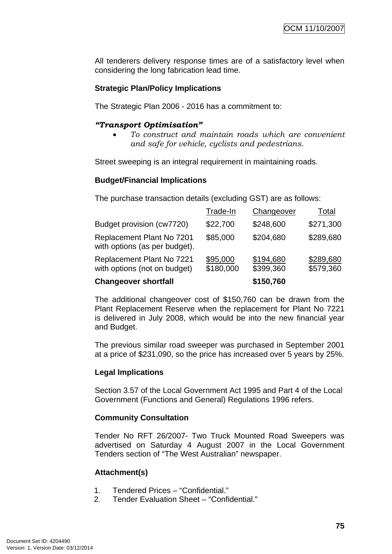All tenderers delivery response times are of a satisfactory level when considering the long fabrication lead time.

## **Strategic Plan/Policy Implications**

The Strategic Plan 2006 - 2016 has a commitment to:

## *"Transport Optimisation"*

• *To construct and maintain roads which are convenient and safe for vehicle, cyclists and pedestrians.* 

Street sweeping is an integral requirement in maintaining roads.

#### **Budget/Financial Implications**

The purchase transaction details (excluding GST) are as follows:

| <b>Changeover shortfall</b>                                |                       | \$150,760              |                        |
|------------------------------------------------------------|-----------------------|------------------------|------------------------|
| Replacement Plant No 7221<br>with options (not on budget)  | \$95,000<br>\$180,000 | \$194,680<br>\$399,360 | \$289,680<br>\$579,360 |
| Replacement Plant No 7201<br>with options (as per budget). | \$85,000              | \$204,680              | \$289,680              |
| Budget provision (cw7720)                                  | \$22,700              | \$248,600              | \$271,300              |
|                                                            | Trade-In              | Changeover             | Total                  |

The additional changeover cost of \$150,760 can be drawn from the Plant Replacement Reserve when the replacement for Plant No 7221 is delivered in July 2008, which would be into the new financial year and Budget.

The previous similar road sweeper was purchased in September 2001 at a price of \$231,090, so the price has increased over 5 years by 25%.

## **Legal Implications**

Section 3.57 of the Local Government Act 1995 and Part 4 of the Local Government (Functions and General) Regulations 1996 refers.

## **Community Consultation**

Tender No RFT 26/2007- Two Truck Mounted Road Sweepers was advertised on Saturday 4 August 2007 in the Local Government Tenders section of "The West Australian" newspaper.

## **Attachment(s)**

- 1. Tendered Prices "Confidential."
- 2. Tender Evaluation Sheet "Confidential."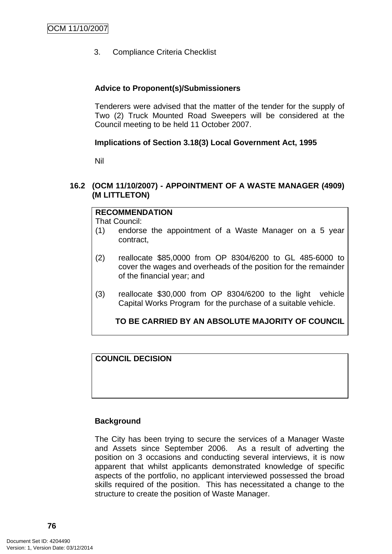3. Compliance Criteria Checklist

## **Advice to Proponent(s)/Submissioners**

Tenderers were advised that the matter of the tender for the supply of Two (2) Truck Mounted Road Sweepers will be considered at the Council meeting to be held 11 October 2007.

## **Implications of Section 3.18(3) Local Government Act, 1995**

Nil

## **16.2 (OCM 11/10/2007) - APPOINTMENT OF A WASTE MANAGER (4909) (M LITTLETON)**

## **RECOMMENDATION**

That Council:

- (1) endorse the appointment of a Waste Manager on a 5 year contract,
- (2) reallocate \$85,0000 from OP 8304/6200 to GL 485-6000 to cover the wages and overheads of the position for the remainder of the financial year; and
- (3) reallocate \$30,000 from OP 8304/6200 to the light vehicle Capital Works Program for the purchase of a suitable vehicle.

# **TO BE CARRIED BY AN ABSOLUTE MAJORITY OF COUNCIL**

**COUNCIL DECISION**

## **Background**

The City has been trying to secure the services of a Manager Waste and Assets since September 2006. As a result of adverting the position on 3 occasions and conducting several interviews, it is now apparent that whilst applicants demonstrated knowledge of specific aspects of the portfolio, no applicant interviewed possessed the broad skills required of the position. This has necessitated a change to the structure to create the position of Waste Manager.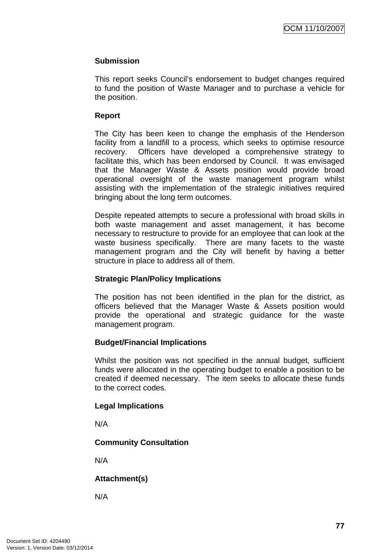## **Submission**

This report seeks Council's endorsement to budget changes required to fund the position of Waste Manager and to purchase a vehicle for the position.

## **Report**

The City has been keen to change the emphasis of the Henderson facility from a landfill to a process, which seeks to optimise resource recovery. Officers have developed a comprehensive strategy to facilitate this, which has been endorsed by Council. It was envisaged that the Manager Waste & Assets position would provide broad operational oversight of the waste management program whilst assisting with the implementation of the strategic initiatives required bringing about the long term outcomes.

Despite repeated attempts to secure a professional with broad skills in both waste management and asset management, it has become necessary to restructure to provide for an employee that can look at the waste business specifically. There are many facets to the waste management program and the City will benefit by having a better structure in place to address all of them.

## **Strategic Plan/Policy Implications**

The position has not been identified in the plan for the district, as officers believed that the Manager Waste & Assets position would provide the operational and strategic guidance for the waste management program.

# **Budget/Financial Implications**

Whilst the position was not specified in the annual budget, sufficient funds were allocated in the operating budget to enable a position to be created if deemed necessary. The item seeks to allocate these funds to the correct codes.

## **Legal Implications**

N/A

# **Community Consultation**

N/A

**Attachment(s)**

N/A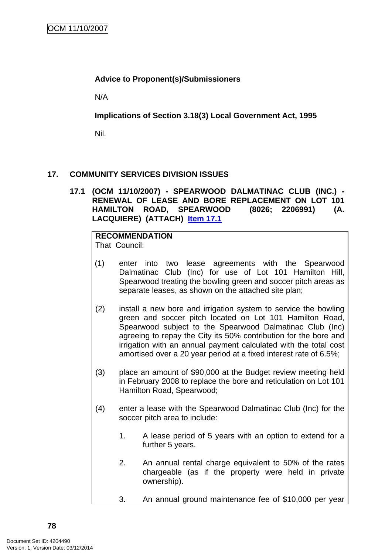# **Advice to Proponent(s)/Submissioners**

N/A

**Implications of Section 3.18(3) Local Government Act, 1995**

Nil.

# **17. COMMUNITY SERVICES DIVISION ISSUES**

**17.1 (OCM 11/10/2007) - SPEARWOOD DALMATINAC CLUB (INC.) - RENEWAL OF LEASE AND BORE REPLACEMENT ON LOT 101 HAMILTON ROAD, SPEARWOOD (8026; 2206991) (A. LACQUIERE) (ATTACH) Item 17.1**

#### **RECOMMENDATION** That Council:

- (1) enter into two lease agreements with the Spearwood Dalmatinac Club (Inc) for use of Lot 101 Hamilton Hill, Spearwood treating the bowling green and soccer pitch areas as separate leases, as shown on the attached site plan;
- (2) install a new bore and irrigation system to service the bowling green and soccer pitch located on Lot 101 Hamilton Road, Spearwood subject to the Spearwood Dalmatinac Club (Inc) agreeing to repay the City its 50% contribution for the bore and irrigation with an annual payment calculated with the total cost amortised over a 20 year period at a fixed interest rate of 6.5%;
- (3) place an amount of \$90,000 at the Budget review meeting held in February 2008 to replace the bore and reticulation on Lot 101 Hamilton Road, Spearwood;
- (4) enter a lease with the Spearwood Dalmatinac Club (Inc) for the soccer pitch area to include:
	- 1. A lease period of 5 years with an option to extend for a further 5 years.
	- 2. An annual rental charge equivalent to 50% of the rates chargeable (as if the property were held in private ownership).
	- 3. An annual ground maintenance fee of \$10,000 per year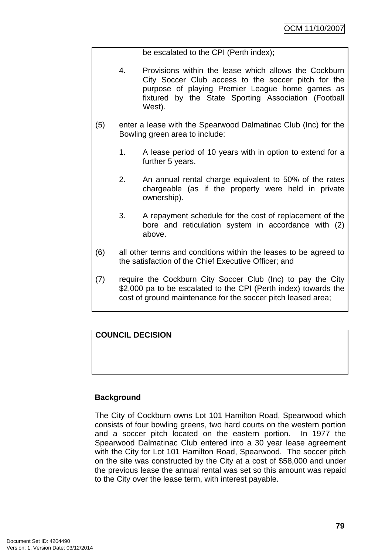be escalated to the CPI (Perth index);

- 4. Provisions within the lease which allows the Cockburn City Soccer Club access to the soccer pitch for the purpose of playing Premier League home games as fixtured by the State Sporting Association (Football West).
- (5) enter a lease with the Spearwood Dalmatinac Club (Inc) for the Bowling green area to include:
	- 1. A lease period of 10 years with in option to extend for a further 5 years.
	- 2. An annual rental charge equivalent to 50% of the rates chargeable (as if the property were held in private ownership).
	- 3. A repayment schedule for the cost of replacement of the bore and reticulation system in accordance with (2) above.
- (6) all other terms and conditions within the leases to be agreed to the satisfaction of the Chief Executive Officer; and
- (7) require the Cockburn City Soccer Club (Inc) to pay the City \$2,000 pa to be escalated to the CPI (Perth index) towards the cost of ground maintenance for the soccer pitch leased area;

# **COUNCIL DECISION**

## **Background**

The City of Cockburn owns Lot 101 Hamilton Road, Spearwood which consists of four bowling greens, two hard courts on the western portion and a soccer pitch located on the eastern portion. In 1977 the Spearwood Dalmatinac Club entered into a 30 year lease agreement with the City for Lot 101 Hamilton Road, Spearwood. The soccer pitch on the site was constructed by the City at a cost of \$58,000 and under the previous lease the annual rental was set so this amount was repaid to the City over the lease term, with interest payable.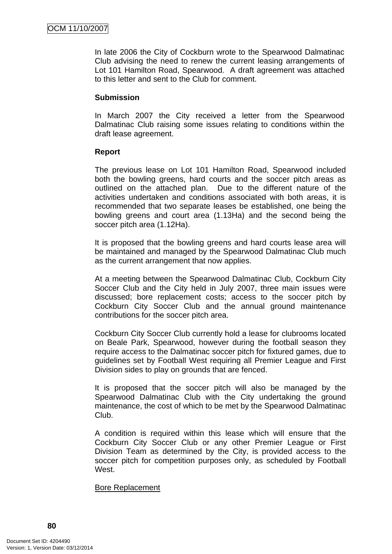In late 2006 the City of Cockburn wrote to the Spearwood Dalmatinac Club advising the need to renew the current leasing arrangements of Lot 101 Hamilton Road, Spearwood. A draft agreement was attached to this letter and sent to the Club for comment.

#### **Submission**

In March 2007 the City received a letter from the Spearwood Dalmatinac Club raising some issues relating to conditions within the draft lease agreement.

#### **Report**

The previous lease on Lot 101 Hamilton Road, Spearwood included both the bowling greens, hard courts and the soccer pitch areas as outlined on the attached plan. Due to the different nature of the activities undertaken and conditions associated with both areas, it is recommended that two separate leases be established, one being the bowling greens and court area (1.13Ha) and the second being the soccer pitch area (1.12Ha).

It is proposed that the bowling greens and hard courts lease area will be maintained and managed by the Spearwood Dalmatinac Club much as the current arrangement that now applies.

At a meeting between the Spearwood Dalmatinac Club, Cockburn City Soccer Club and the City held in July 2007, three main issues were discussed; bore replacement costs; access to the soccer pitch by Cockburn City Soccer Club and the annual ground maintenance contributions for the soccer pitch area.

Cockburn City Soccer Club currently hold a lease for clubrooms located on Beale Park, Spearwood, however during the football season they require access to the Dalmatinac soccer pitch for fixtured games, due to guidelines set by Football West requiring all Premier League and First Division sides to play on grounds that are fenced.

It is proposed that the soccer pitch will also be managed by the Spearwood Dalmatinac Club with the City undertaking the ground maintenance, the cost of which to be met by the Spearwood Dalmatinac Club.

A condition is required within this lease which will ensure that the Cockburn City Soccer Club or any other Premier League or First Division Team as determined by the City, is provided access to the soccer pitch for competition purposes only, as scheduled by Football West

#### Bore Replacement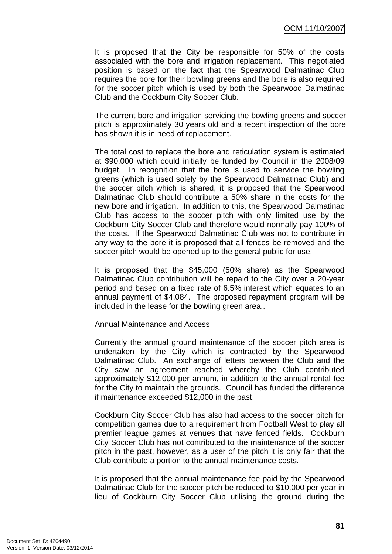OCM 11/10/2007

It is proposed that the City be responsible for 50% of the costs associated with the bore and irrigation replacement. This negotiated position is based on the fact that the Spearwood Dalmatinac Club requires the bore for their bowling greens and the bore is also required for the soccer pitch which is used by both the Spearwood Dalmatinac Club and the Cockburn City Soccer Club.

The current bore and irrigation servicing the bowling greens and soccer pitch is approximately 30 years old and a recent inspection of the bore has shown it is in need of replacement.

The total cost to replace the bore and reticulation system is estimated at \$90,000 which could initially be funded by Council in the 2008/09 budget. In recognition that the bore is used to service the bowling greens (which is used solely by the Spearwood Dalmatinac Club) and the soccer pitch which is shared, it is proposed that the Spearwood Dalmatinac Club should contribute a 50% share in the costs for the new bore and irrigation. In addition to this, the Spearwood Dalmatinac Club has access to the soccer pitch with only limited use by the Cockburn City Soccer Club and therefore would normally pay 100% of the costs. If the Spearwood Dalmatinac Club was not to contribute in any way to the bore it is proposed that all fences be removed and the soccer pitch would be opened up to the general public for use.

It is proposed that the \$45,000 (50% share) as the Spearwood Dalmatinac Club contribution will be repaid to the City over a 20-year period and based on a fixed rate of 6.5% interest which equates to an annual payment of \$4,084. The proposed repayment program will be included in the lease for the bowling green area..

#### Annual Maintenance and Access

Currently the annual ground maintenance of the soccer pitch area is undertaken by the City which is contracted by the Spearwood Dalmatinac Club. An exchange of letters between the Club and the City saw an agreement reached whereby the Club contributed approximately \$12,000 per annum, in addition to the annual rental fee for the City to maintain the grounds. Council has funded the difference if maintenance exceeded \$12,000 in the past.

Cockburn City Soccer Club has also had access to the soccer pitch for competition games due to a requirement from Football West to play all premier league games at venues that have fenced fields. Cockburn City Soccer Club has not contributed to the maintenance of the soccer pitch in the past, however, as a user of the pitch it is only fair that the Club contribute a portion to the annual maintenance costs.

It is proposed that the annual maintenance fee paid by the Spearwood Dalmatinac Club for the soccer pitch be reduced to \$10,000 per year in lieu of Cockburn City Soccer Club utilising the ground during the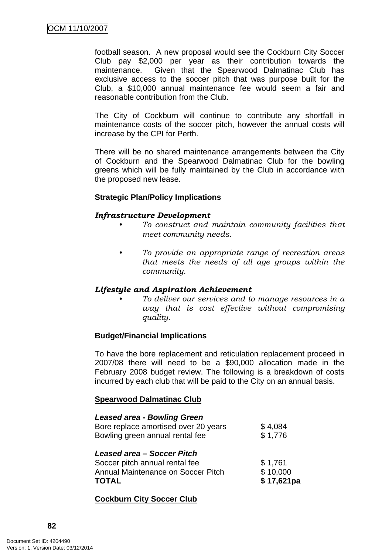football season. A new proposal would see the Cockburn City Soccer Club pay \$2,000 per year as their contribution towards the maintenance. Given that the Spearwood Dalmatinac Club has exclusive access to the soccer pitch that was purpose built for the Club, a \$10,000 annual maintenance fee would seem a fair and reasonable contribution from the Club.

The City of Cockburn will continue to contribute any shortfall in maintenance costs of the soccer pitch, however the annual costs will increase by the CPI for Perth.

There will be no shared maintenance arrangements between the City of Cockburn and the Spearwood Dalmatinac Club for the bowling greens which will be fully maintained by the Club in accordance with the proposed new lease.

## **Strategic Plan/Policy Implications**

#### *Infrastructure Development*

- *To construct and maintain community facilities that meet community needs.*
- *To provide an appropriate range of recreation areas that meets the needs of all age groups within the community.*

## *Lifestyle and Aspiration Achievement*

*• To deliver our services and to manage resources in a way that is cost effective without compromising quality.* 

## **Budget/Financial Implications**

To have the bore replacement and reticulation replacement proceed in 2007/08 there will need to be a \$90,000 allocation made in the February 2008 budget review. The following is a breakdown of costs incurred by each club that will be paid to the City on an annual basis.

#### **Spearwood Dalmatinac Club**

| <b>Leased area - Bowling Green</b><br>Bore replace amortised over 20 years<br>Bowling green annual rental fee      | \$4,084<br>\$1,776                |
|--------------------------------------------------------------------------------------------------------------------|-----------------------------------|
| Leased area - Soccer Pitch<br>Soccer pitch annual rental fee<br>Annual Maintenance on Soccer Pitch<br><b>TOTAL</b> | \$1,761<br>\$10,000<br>\$17,621pa |

## **Cockburn City Soccer Club**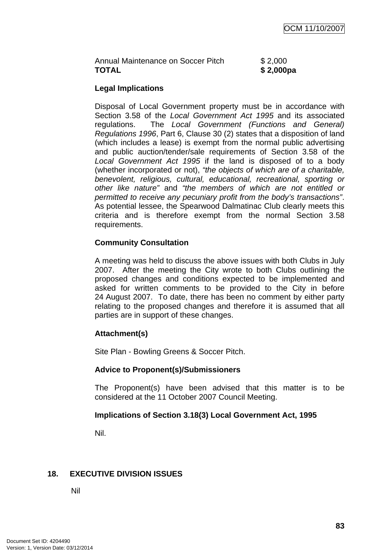| Annual Maintenance on Soccer Pitch | \$2,000   |
|------------------------------------|-----------|
| <b>TOTAL</b>                       | \$2,000pa |

## **Legal Implications**

Disposal of Local Government property must be in accordance with Section 3.58 of the *Local Government Act 1995* and its associated regulations. The *Local Government (Functions and General) Regulations 1996*, Part 6, Clause 30 (2) states that a disposition of land (which includes a lease) is exempt from the normal public advertising and public auction/tender/sale requirements of Section 3.58 of the *Local Government Act 1995* if the land is disposed of to a body (whether incorporated or not), *"the objects of which are of a charitable, benevolent, religious, cultural, educational, recreational, sporting or other like nature"* and *"the members of which are not entitled or permitted to receive any pecuniary profit from the body's transactions"*. As potential lessee, the Spearwood Dalmatinac Club clearly meets this criteria and is therefore exempt from the normal Section 3.58 requirements.

## **Community Consultation**

A meeting was held to discuss the above issues with both Clubs in July 2007. After the meeting the City wrote to both Clubs outlining the proposed changes and conditions expected to be implemented and asked for written comments to be provided to the City in before 24 August 2007. To date, there has been no comment by either party relating to the proposed changes and therefore it is assumed that all parties are in support of these changes.

# **Attachment(s)**

Site Plan - Bowling Greens & Soccer Pitch.

## **Advice to Proponent(s)/Submissioners**

The Proponent(s) have been advised that this matter is to be considered at the 11 October 2007 Council Meeting.

## **Implications of Section 3.18(3) Local Government Act, 1995**

Nil.

# **18. EXECUTIVE DIVISION ISSUES**

Nil